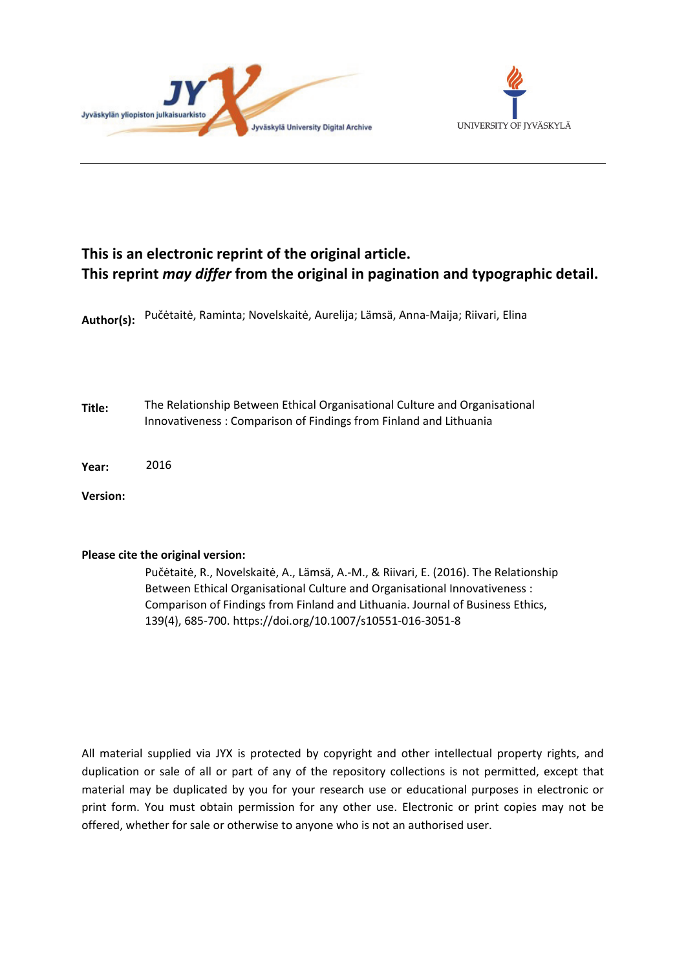



## **This is an electronic reprint of the original article. This reprint** *may differ* **from the original in pagination and typographic detail.**

**Author(s):**  Pučėtaitė, Raminta; Novelskaitė, Aurelija; Lämsä, Anna-Maija; Riivari, Elina

**Title:** The Relationship Between Ethical Organisational Culture and Organisational Innovativeness : Comparison of Findings from Finland and Lithuania

**Year:**  2016

**Version:**

## **Please cite the original version:**

Pučėtaitė, R., Novelskaitė, A., Lämsä, A.-M., & Riivari, E. (2016). The Relationship Between Ethical Organisational Culture and Organisational Innovativeness : Comparison of Findings from Finland and Lithuania. Journal of Business Ethics, 139(4), 685-700. https://doi.org/10.1007/s10551-016-3051-8

All material supplied via JYX is protected by copyright and other intellectual property rights, and duplication or sale of all or part of any of the repository collections is not permitted, except that material may be duplicated by you for your research use or educational purposes in electronic or print form. You must obtain permission for any other use. Electronic or print copies may not be offered, whether for sale or otherwise to anyone who is not an authorised user.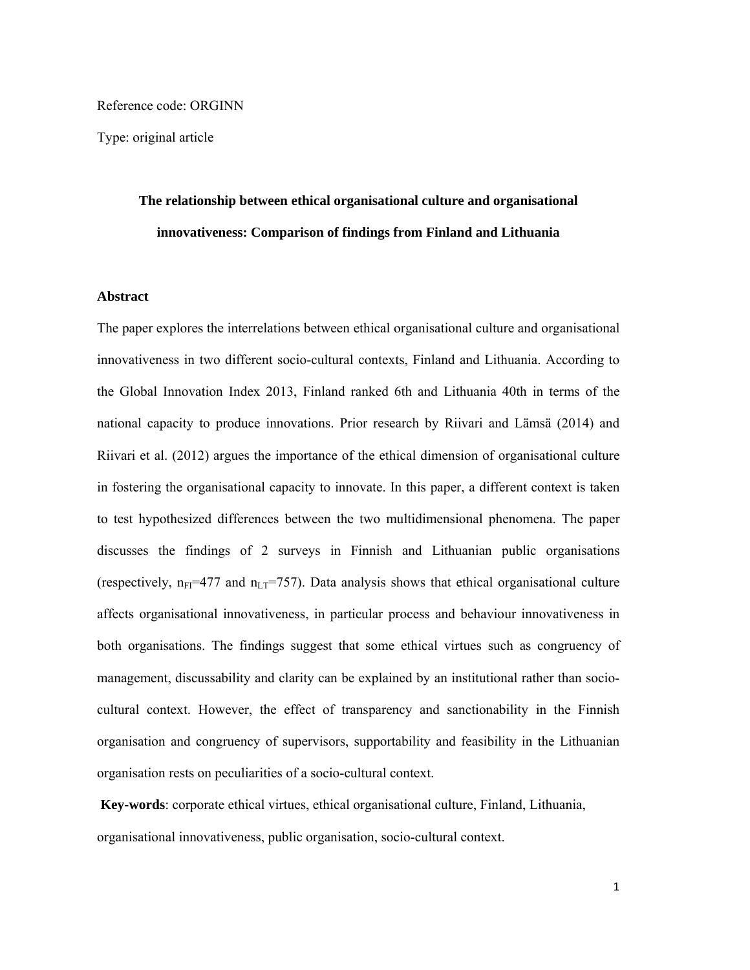Reference code: ORGINN

Type: original article

# **The relationship between ethical organisational culture and organisational innovativeness: Comparison of findings from Finland and Lithuania**

## **Abstract**

The paper explores the interrelations between ethical organisational culture and organisational innovativeness in two different socio-cultural contexts, Finland and Lithuania. According to the Global Innovation Index 2013, Finland ranked 6th and Lithuania 40th in terms of the national capacity to produce innovations. Prior research by Riivari and Lämsä (2014) and Riivari et al. (2012) argues the importance of the ethical dimension of organisational culture in fostering the organisational capacity to innovate. In this paper, a different context is taken to test hypothesized differences between the two multidimensional phenomena. The paper discusses the findings of 2 surveys in Finnish and Lithuanian public organisations (respectively,  $n_{FI}$ =477 and  $n_{LT}$ =757). Data analysis shows that ethical organisational culture affects organisational innovativeness, in particular process and behaviour innovativeness in both organisations. The findings suggest that some ethical virtues such as congruency of management, discussability and clarity can be explained by an institutional rather than sociocultural context. However, the effect of transparency and sanctionability in the Finnish organisation and congruency of supervisors, supportability and feasibility in the Lithuanian organisation rests on peculiarities of a socio-cultural context.

**Key-words**: corporate ethical virtues, ethical organisational culture, Finland, Lithuania, organisational innovativeness, public organisation, socio-cultural context.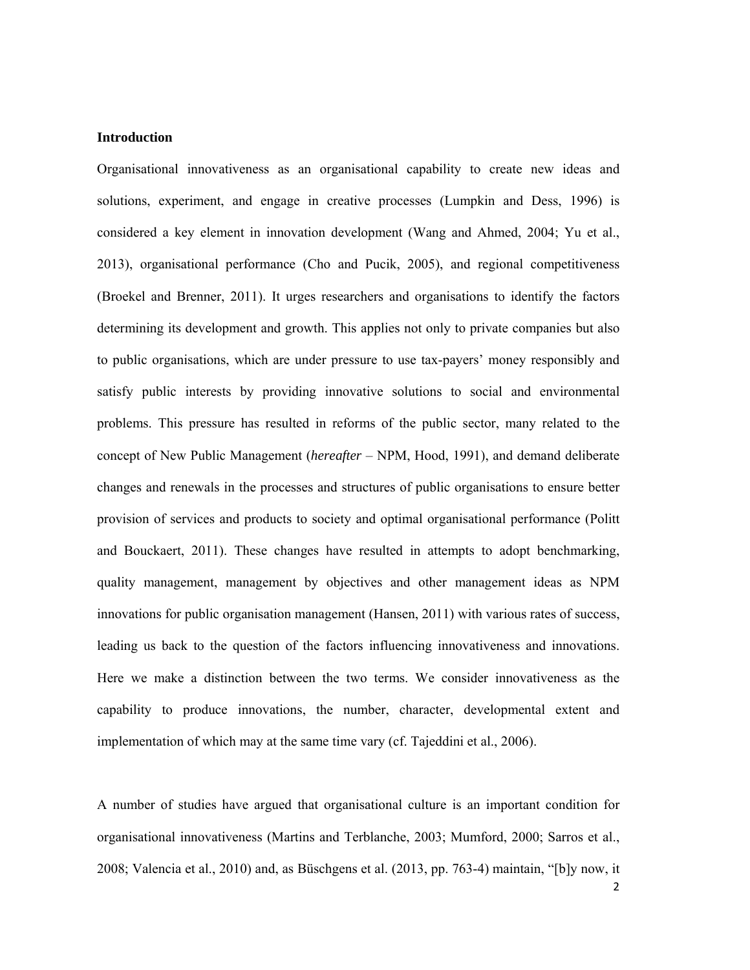### **Introduction**

Organisational innovativeness as an organisational capability to create new ideas and solutions, experiment, and engage in creative processes (Lumpkin and Dess, 1996) is considered a key element in innovation development (Wang and Ahmed, 2004; Yu et al., 2013), organisational performance (Cho and Pucik, 2005), and regional competitiveness (Broekel and Brenner, 2011). It urges researchers and organisations to identify the factors determining its development and growth. This applies not only to private companies but also to public organisations, which are under pressure to use tax-payers' money responsibly and satisfy public interests by providing innovative solutions to social and environmental problems. This pressure has resulted in reforms of the public sector, many related to the concept of New Public Management (*hereafter* – NPM, Hood, 1991), and demand deliberate changes and renewals in the processes and structures of public organisations to ensure better provision of services and products to society and optimal organisational performance (Politt and Bouckaert, 2011). These changes have resulted in attempts to adopt benchmarking, quality management, management by objectives and other management ideas as NPM innovations for public organisation management (Hansen, 2011) with various rates of success, leading us back to the question of the factors influencing innovativeness and innovations. Here we make a distinction between the two terms. We consider innovativeness as the capability to produce innovations, the number, character, developmental extent and implementation of which may at the same time vary (cf. Tajeddini et al., 2006).

A number of studies have argued that organisational culture is an important condition for organisational innovativeness (Martins and Terblanche, 2003; Mumford, 2000; Sarros et al., 2008; Valencia et al., 2010) and, as Büschgens et al. (2013, pp. 763-4) maintain, "[b]y now, it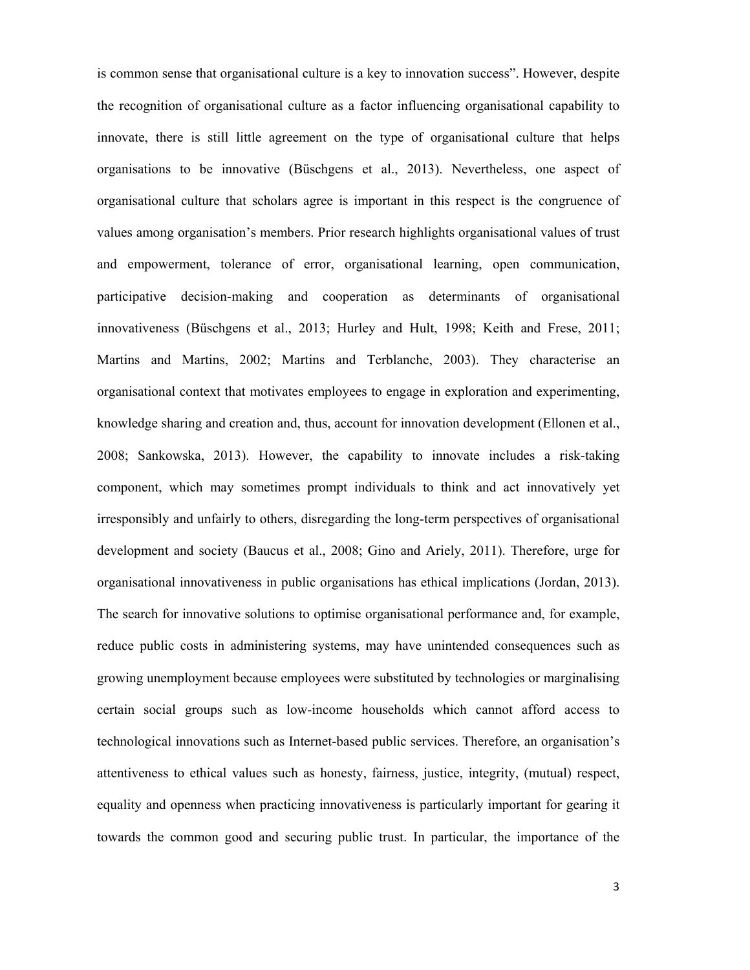is common sense that organisational culture is a key to innovation success". However, despite the recognition of organisational culture as a factor influencing organisational capability to innovate, there is still little agreement on the type of organisational culture that helps organisations to be innovative (Büschgens et al., 2013). Nevertheless, one aspect of organisational culture that scholars agree is important in this respect is the congruence of values among organisation's members. Prior research highlights organisational values of trust and empowerment, tolerance of error, organisational learning, open communication, participative decision-making and cooperation as determinants of organisational innovativeness (Büschgens et al., 2013; Hurley and Hult, 1998; Keith and Frese, 2011; Martins and Martins, 2002; Martins and Terblanche, 2003). They characterise an organisational context that motivates employees to engage in exploration and experimenting, knowledge sharing and creation and, thus, account for innovation development (Ellonen et al., 2008; Sankowska, 2013). However, the capability to innovate includes a risk-taking component, which may sometimes prompt individuals to think and act innovatively yet irresponsibly and unfairly to others, disregarding the long-term perspectives of organisational development and society (Baucus et al., 2008; Gino and Ariely, 2011). Therefore, urge for organisational innovativeness in public organisations has ethical implications (Jordan, 2013). The search for innovative solutions to optimise organisational performance and, for example, reduce public costs in administering systems, may have unintended consequences such as growing unemployment because employees were substituted by technologies or marginalising certain social groups such as low-income households which cannot afford access to technological innovations such as Internet-based public services. Therefore, an organisation's attentiveness to ethical values such as honesty, fairness, justice, integrity, (mutual) respect, equality and openness when practicing innovativeness is particularly important for gearing it towards the common good and securing public trust. In particular, the importance of the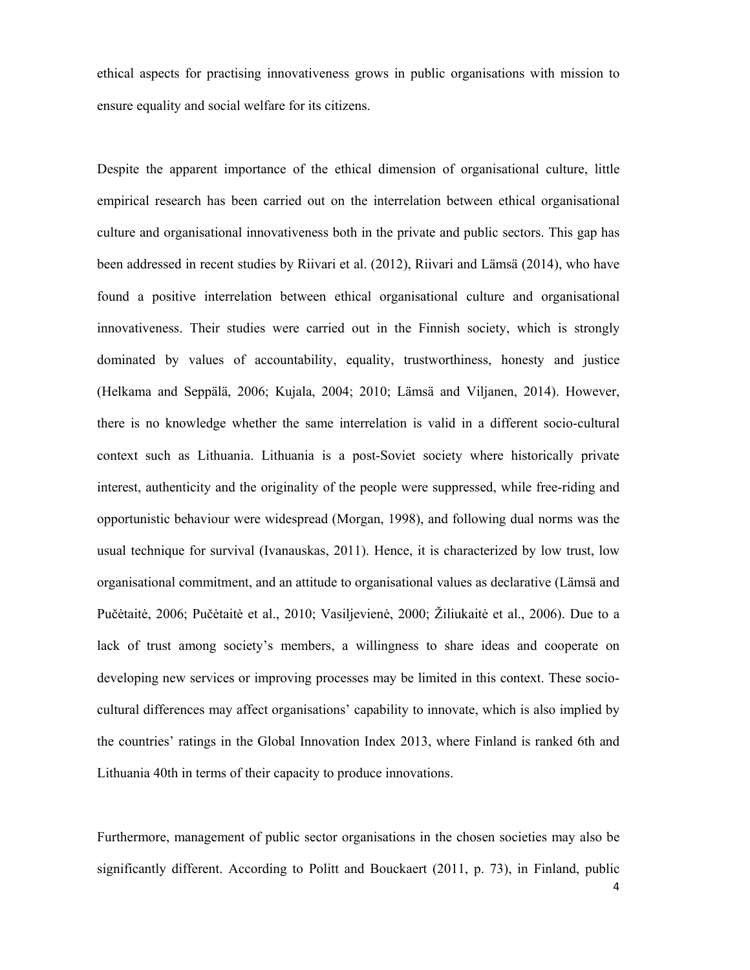ethical aspects for practising innovativeness grows in public organisations with mission to ensure equality and social welfare for its citizens.

Despite the apparent importance of the ethical dimension of organisational culture, little empirical research has been carried out on the interrelation between ethical organisational culture and organisational innovativeness both in the private and public sectors. This gap has been addressed in recent studies by Riivari et al. (2012), Riivari and Lämsä (2014), who have found a positive interrelation between ethical organisational culture and organisational innovativeness. Their studies were carried out in the Finnish society, which is strongly dominated by values of accountability, equality, trustworthiness, honesty and justice (Helkama and Seppälä, 2006; Kujala, 2004; 2010; Lämsä and Viljanen, 2014). However, there is no knowledge whether the same interrelation is valid in a different socio-cultural context such as Lithuania. Lithuania is a post-Soviet society where historically private interest, authenticity and the originality of the people were suppressed, while free-riding and opportunistic behaviour were widespread (Morgan, 1998), and following dual norms was the usual technique for survival (Ivanauskas, 2011). Hence, it is characterized by low trust, low organisational commitment, and an attitude to organisational values as declarative (Lämsä and Pučėtaitė, 2006; Pučėtaitė et al., 2010; Vasiljevienė, 2000; Žiliukaitė et al., 2006). Due to a lack of trust among society's members, a willingness to share ideas and cooperate on developing new services or improving processes may be limited in this context. These sociocultural differences may affect organisations' capability to innovate, which is also implied by the countries' ratings in the Global Innovation Index 2013, where Finland is ranked 6th and Lithuania 40th in terms of their capacity to produce innovations.

Furthermore, management of public sector organisations in the chosen societies may also be significantly different. According to Politt and Bouckaert (2011, p. 73), in Finland, public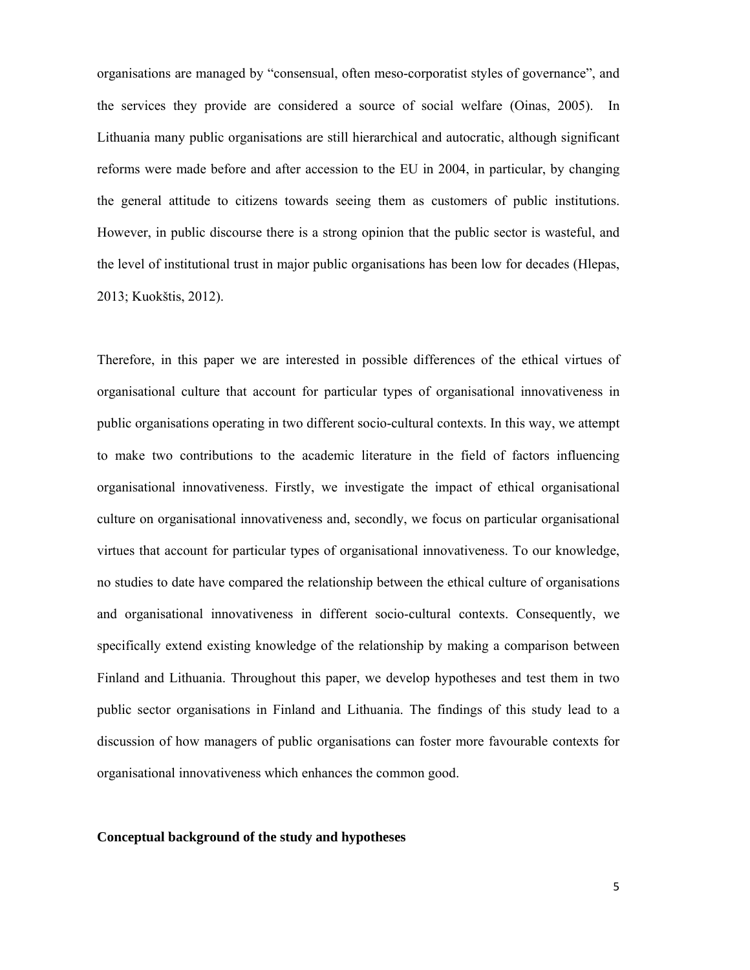organisations are managed by "consensual, often meso-corporatist styles of governance", and the services they provide are considered a source of social welfare (Oinas, 2005). In Lithuania many public organisations are still hierarchical and autocratic, although significant reforms were made before and after accession to the EU in 2004, in particular, by changing the general attitude to citizens towards seeing them as customers of public institutions. However, in public discourse there is a strong opinion that the public sector is wasteful, and the level of institutional trust in major public organisations has been low for decades (Hlepas, 2013; Kuokštis, 2012).

Therefore, in this paper we are interested in possible differences of the ethical virtues of organisational culture that account for particular types of organisational innovativeness in public organisations operating in two different socio-cultural contexts. In this way, we attempt to make two contributions to the academic literature in the field of factors influencing organisational innovativeness. Firstly, we investigate the impact of ethical organisational culture on organisational innovativeness and, secondly, we focus on particular organisational virtues that account for particular types of organisational innovativeness. To our knowledge, no studies to date have compared the relationship between the ethical culture of organisations and organisational innovativeness in different socio-cultural contexts. Consequently, we specifically extend existing knowledge of the relationship by making a comparison between Finland and Lithuania. Throughout this paper, we develop hypotheses and test them in two public sector organisations in Finland and Lithuania. The findings of this study lead to a discussion of how managers of public organisations can foster more favourable contexts for organisational innovativeness which enhances the common good.

#### **Conceptual background of the study and hypotheses**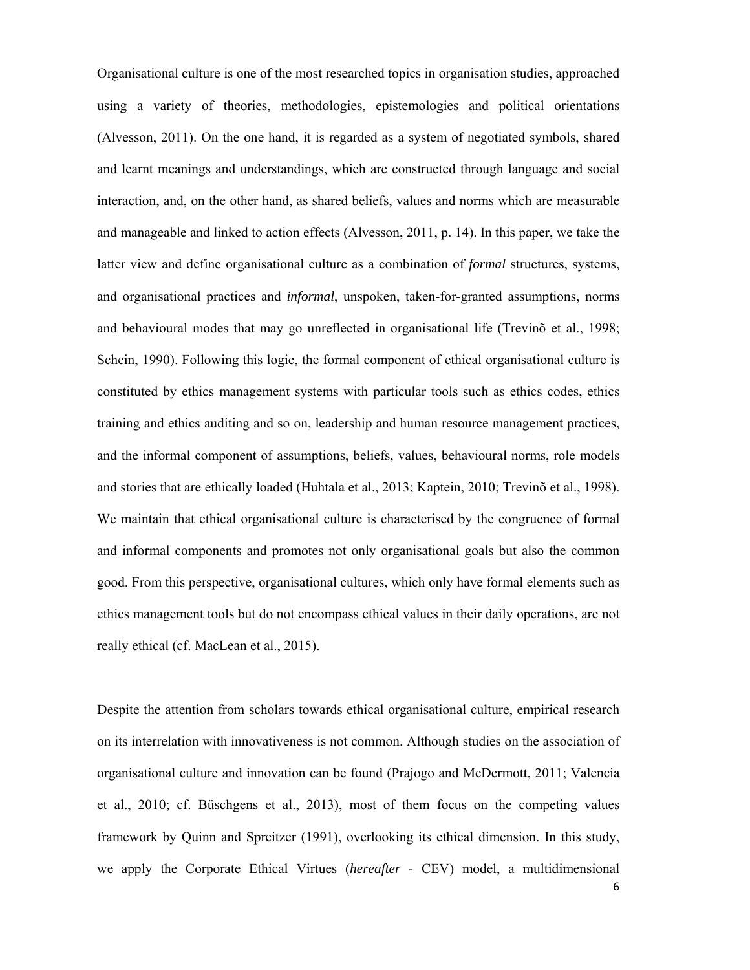Organisational culture is one of the most researched topics in organisation studies, approached using a variety of theories, methodologies, epistemologies and political orientations (Alvesson, 2011). On the one hand, it is regarded as a system of negotiated symbols, shared and learnt meanings and understandings, which are constructed through language and social interaction, and, on the other hand, as shared beliefs, values and norms which are measurable and manageable and linked to action effects (Alvesson, 2011, p. 14). In this paper, we take the latter view and define organisational culture as a combination of *formal* structures, systems, and organisational practices and *informal*, unspoken, taken-for-granted assumptions, norms and behavioural modes that may go unreflected in organisational life (Trevinõ et al., 1998; Schein, 1990). Following this logic, the formal component of ethical organisational culture is constituted by ethics management systems with particular tools such as ethics codes, ethics training and ethics auditing and so on, leadership and human resource management practices, and the informal component of assumptions, beliefs, values, behavioural norms, role models and stories that are ethically loaded (Huhtala et al., 2013; Kaptein, 2010; Trevinõ et al., 1998). We maintain that ethical organisational culture is characterised by the congruence of formal and informal components and promotes not only organisational goals but also the common good. From this perspective, organisational cultures, which only have formal elements such as ethics management tools but do not encompass ethical values in their daily operations, are not really ethical (cf. MacLean et al., 2015).

6 Despite the attention from scholars towards ethical organisational culture, empirical research on its interrelation with innovativeness is not common. Although studies on the association of organisational culture and innovation can be found (Prajogo and McDermott, 2011; Valencia et al., 2010; cf. Büschgens et al., 2013), most of them focus on the competing values framework by Quinn and Spreitzer (1991), overlooking its ethical dimension. In this study, we apply the Corporate Ethical Virtues (*hereafter* - CEV) model, a multidimensional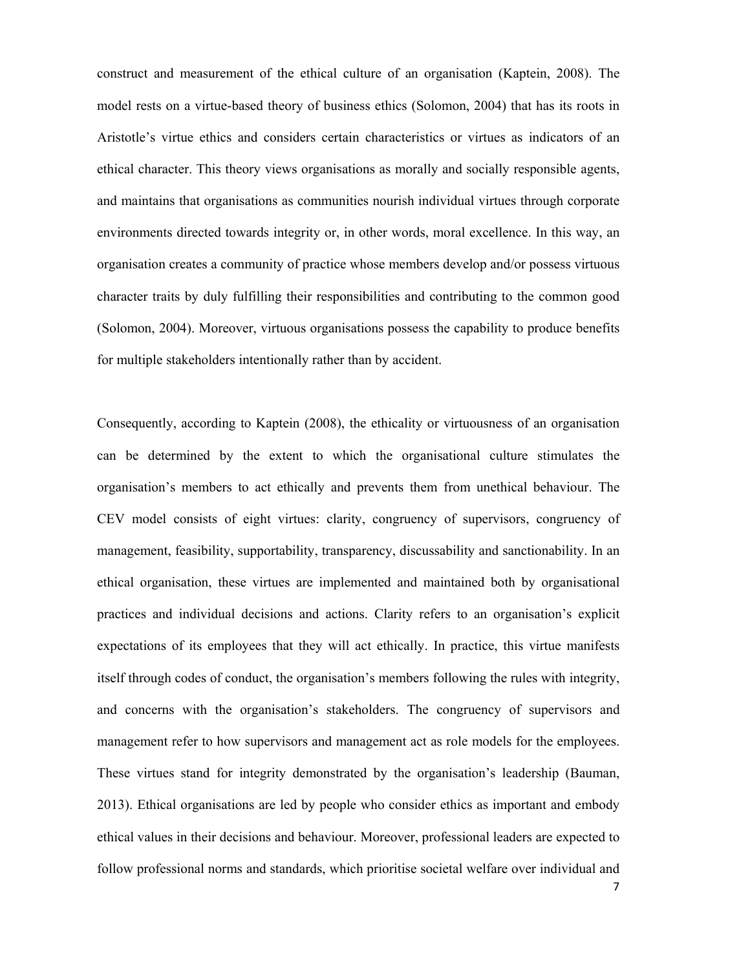construct and measurement of the ethical culture of an organisation (Kaptein, 2008). The model rests on a virtue-based theory of business ethics (Solomon, 2004) that has its roots in Aristotle's virtue ethics and considers certain characteristics or virtues as indicators of an ethical character. This theory views organisations as morally and socially responsible agents, and maintains that organisations as communities nourish individual virtues through corporate environments directed towards integrity or, in other words, moral excellence. In this way, an organisation creates a community of practice whose members develop and/or possess virtuous character traits by duly fulfilling their responsibilities and contributing to the common good (Solomon, 2004). Moreover, virtuous organisations possess the capability to produce benefits for multiple stakeholders intentionally rather than by accident.

Consequently, according to Kaptein (2008), the ethicality or virtuousness of an organisation can be determined by the extent to which the organisational culture stimulates the organisation's members to act ethically and prevents them from unethical behaviour. The CEV model consists of eight virtues: clarity, congruency of supervisors, congruency of management, feasibility, supportability, transparency, discussability and sanctionability. In an ethical organisation, these virtues are implemented and maintained both by organisational practices and individual decisions and actions. Clarity refers to an organisation's explicit expectations of its employees that they will act ethically. In practice, this virtue manifests itself through codes of conduct, the organisation's members following the rules with integrity, and concerns with the organisation's stakeholders. The congruency of supervisors and management refer to how supervisors and management act as role models for the employees. These virtues stand for integrity demonstrated by the organisation's leadership (Bauman, 2013). Ethical organisations are led by people who consider ethics as important and embody ethical values in their decisions and behaviour. Moreover, professional leaders are expected to follow professional norms and standards, which prioritise societal welfare over individual and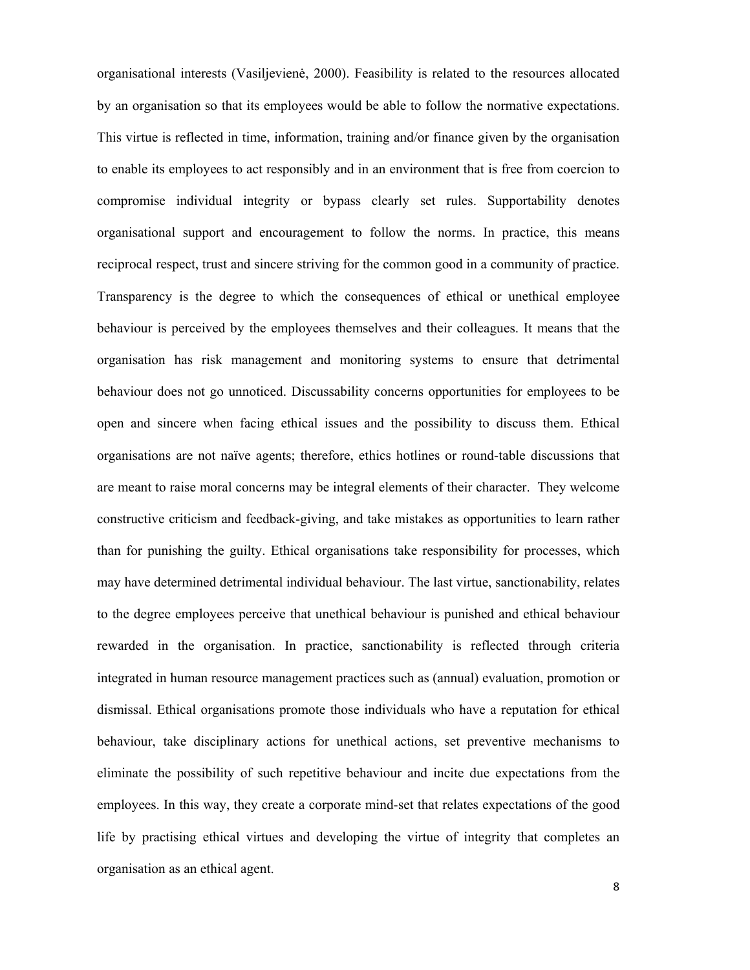organisational interests (Vasiljevienė, 2000). Feasibility is related to the resources allocated by an organisation so that its employees would be able to follow the normative expectations. This virtue is reflected in time, information, training and/or finance given by the organisation to enable its employees to act responsibly and in an environment that is free from coercion to compromise individual integrity or bypass clearly set rules. Supportability denotes organisational support and encouragement to follow the norms. In practice, this means reciprocal respect, trust and sincere striving for the common good in a community of practice. Transparency is the degree to which the consequences of ethical or unethical employee behaviour is perceived by the employees themselves and their colleagues. It means that the organisation has risk management and monitoring systems to ensure that detrimental behaviour does not go unnoticed. Discussability concerns opportunities for employees to be open and sincere when facing ethical issues and the possibility to discuss them. Ethical organisations are not naïve agents; therefore, ethics hotlines or round-table discussions that are meant to raise moral concerns may be integral elements of their character. They welcome constructive criticism and feedback-giving, and take mistakes as opportunities to learn rather than for punishing the guilty. Ethical organisations take responsibility for processes, which may have determined detrimental individual behaviour. The last virtue, sanctionability, relates to the degree employees perceive that unethical behaviour is punished and ethical behaviour rewarded in the organisation. In practice, sanctionability is reflected through criteria integrated in human resource management practices such as (annual) evaluation, promotion or dismissal. Ethical organisations promote those individuals who have a reputation for ethical behaviour, take disciplinary actions for unethical actions, set preventive mechanisms to eliminate the possibility of such repetitive behaviour and incite due expectations from the employees. In this way, they create a corporate mind-set that relates expectations of the good life by practising ethical virtues and developing the virtue of integrity that completes an organisation as an ethical agent.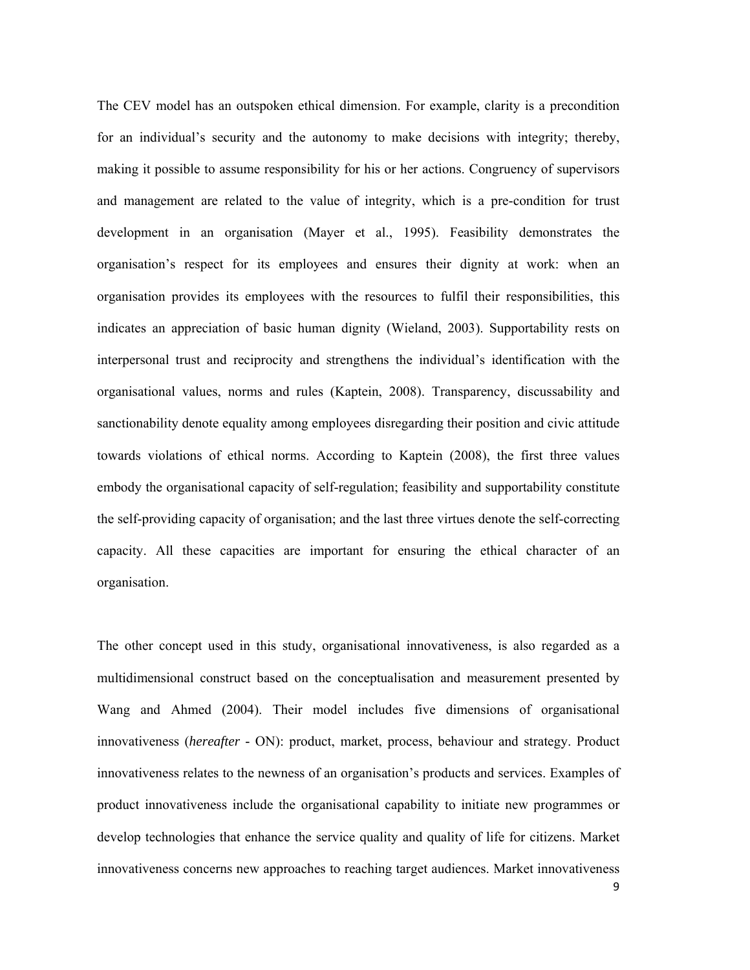The CEV model has an outspoken ethical dimension. For example, clarity is a precondition for an individual's security and the autonomy to make decisions with integrity; thereby, making it possible to assume responsibility for his or her actions. Congruency of supervisors and management are related to the value of integrity, which is a pre-condition for trust development in an organisation (Mayer et al., 1995). Feasibility demonstrates the organisation's respect for its employees and ensures their dignity at work: when an organisation provides its employees with the resources to fulfil their responsibilities, this indicates an appreciation of basic human dignity (Wieland, 2003). Supportability rests on interpersonal trust and reciprocity and strengthens the individual's identification with the organisational values, norms and rules (Kaptein, 2008). Transparency, discussability and sanctionability denote equality among employees disregarding their position and civic attitude towards violations of ethical norms. According to Kaptein (2008), the first three values embody the organisational capacity of self-regulation; feasibility and supportability constitute the self-providing capacity of organisation; and the last three virtues denote the self-correcting capacity. All these capacities are important for ensuring the ethical character of an organisation.

The other concept used in this study, organisational innovativeness, is also regarded as a multidimensional construct based on the conceptualisation and measurement presented by Wang and Ahmed (2004). Their model includes five dimensions of organisational innovativeness (*hereafter -* ON): product, market, process, behaviour and strategy. Product innovativeness relates to the newness of an organisation's products and services. Examples of product innovativeness include the organisational capability to initiate new programmes or develop technologies that enhance the service quality and quality of life for citizens. Market innovativeness concerns new approaches to reaching target audiences. Market innovativeness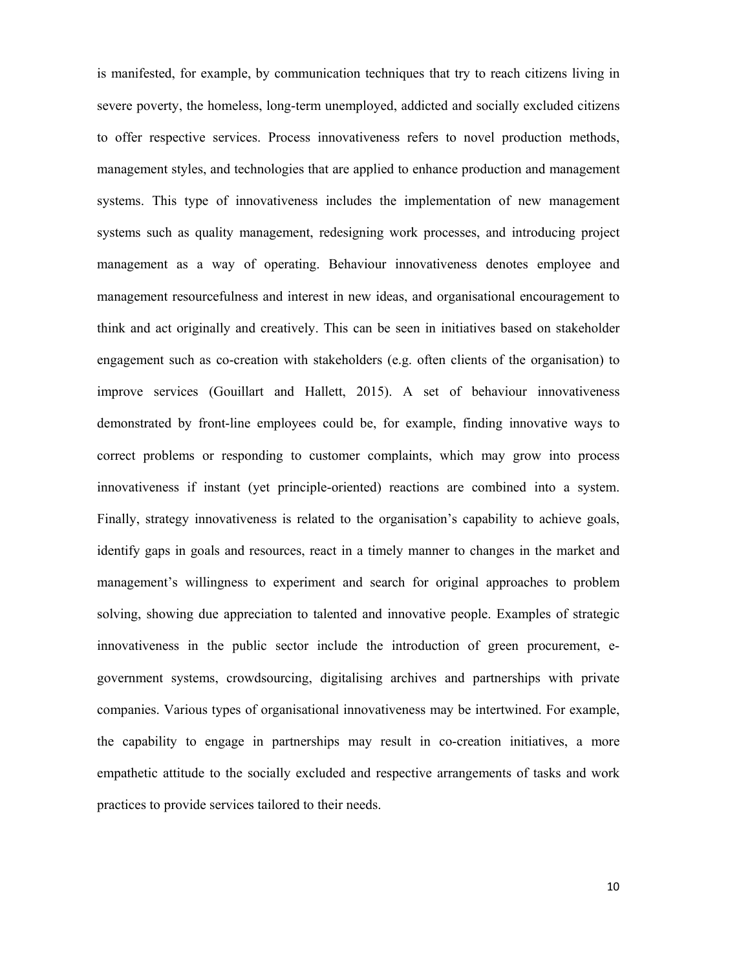is manifested, for example, by communication techniques that try to reach citizens living in severe poverty, the homeless, long-term unemployed, addicted and socially excluded citizens to offer respective services. Process innovativeness refers to novel production methods, management styles, and technologies that are applied to enhance production and management systems. This type of innovativeness includes the implementation of new management systems such as quality management, redesigning work processes, and introducing project management as a way of operating. Behaviour innovativeness denotes employee and management resourcefulness and interest in new ideas, and organisational encouragement to think and act originally and creatively. This can be seen in initiatives based on stakeholder engagement such as co-creation with stakeholders (e.g. often clients of the organisation) to improve services (Gouillart and Hallett, 2015). A set of behaviour innovativeness demonstrated by front-line employees could be, for example, finding innovative ways to correct problems or responding to customer complaints, which may grow into process innovativeness if instant (yet principle-oriented) reactions are combined into a system. Finally, strategy innovativeness is related to the organisation's capability to achieve goals, identify gaps in goals and resources, react in a timely manner to changes in the market and management's willingness to experiment and search for original approaches to problem solving, showing due appreciation to talented and innovative people. Examples of strategic innovativeness in the public sector include the introduction of green procurement, egovernment systems, crowdsourcing, digitalising archives and partnerships with private companies. Various types of organisational innovativeness may be intertwined. For example, the capability to engage in partnerships may result in co-creation initiatives, a more empathetic attitude to the socially excluded and respective arrangements of tasks and work practices to provide services tailored to their needs.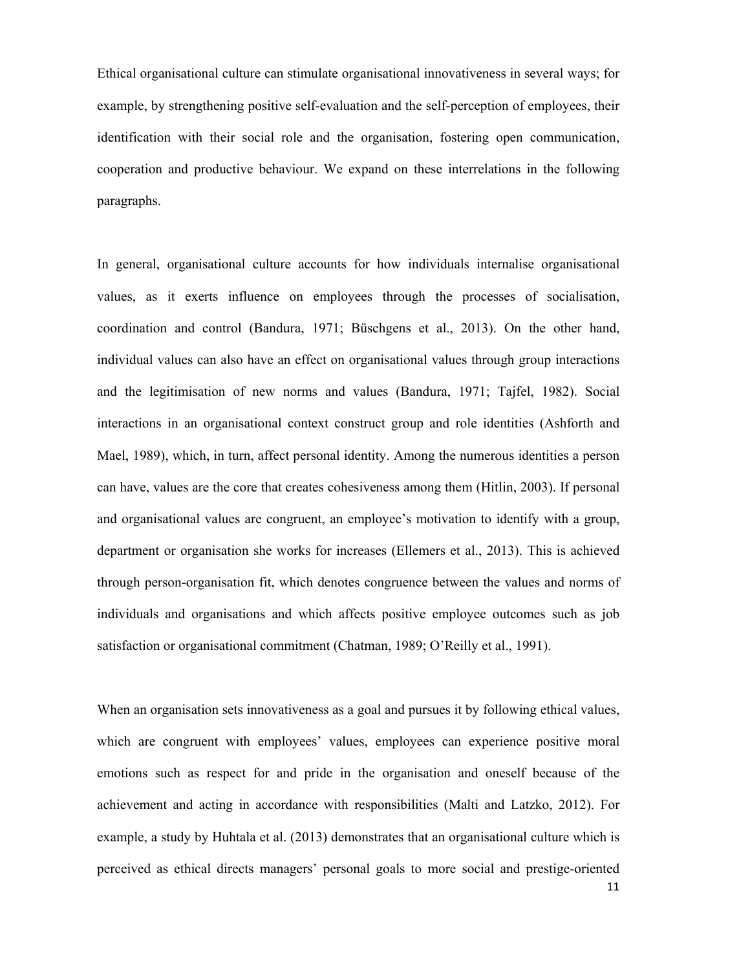Ethical organisational culture can stimulate organisational innovativeness in several ways; for example, by strengthening positive self-evaluation and the self-perception of employees, their identification with their social role and the organisation, fostering open communication, cooperation and productive behaviour. We expand on these interrelations in the following paragraphs.

In general, organisational culture accounts for how individuals internalise organisational values, as it exerts influence on employees through the processes of socialisation, coordination and control (Bandura, 1971; Büschgens et al., 2013). On the other hand, individual values can also have an effect on organisational values through group interactions and the legitimisation of new norms and values (Bandura, 1971; Tajfel, 1982). Social interactions in an organisational context construct group and role identities (Ashforth and Mael, 1989), which, in turn, affect personal identity. Among the numerous identities a person can have, values are the core that creates cohesiveness among them (Hitlin, 2003). If personal and organisational values are congruent, an employee's motivation to identify with a group, department or organisation she works for increases (Ellemers et al., 2013). This is achieved through person-organisation fit, which denotes congruence between the values and norms of individuals and organisations and which affects positive employee outcomes such as job satisfaction or organisational commitment (Chatman, 1989; O'Reilly et al., 1991).

11 When an organisation sets innovativeness as a goal and pursues it by following ethical values, which are congruent with employees' values, employees can experience positive moral emotions such as respect for and pride in the organisation and oneself because of the achievement and acting in accordance with responsibilities (Malti and Latzko, 2012). For example, a study by Huhtala et al. (2013) demonstrates that an organisational culture which is perceived as ethical directs managers' personal goals to more social and prestige-oriented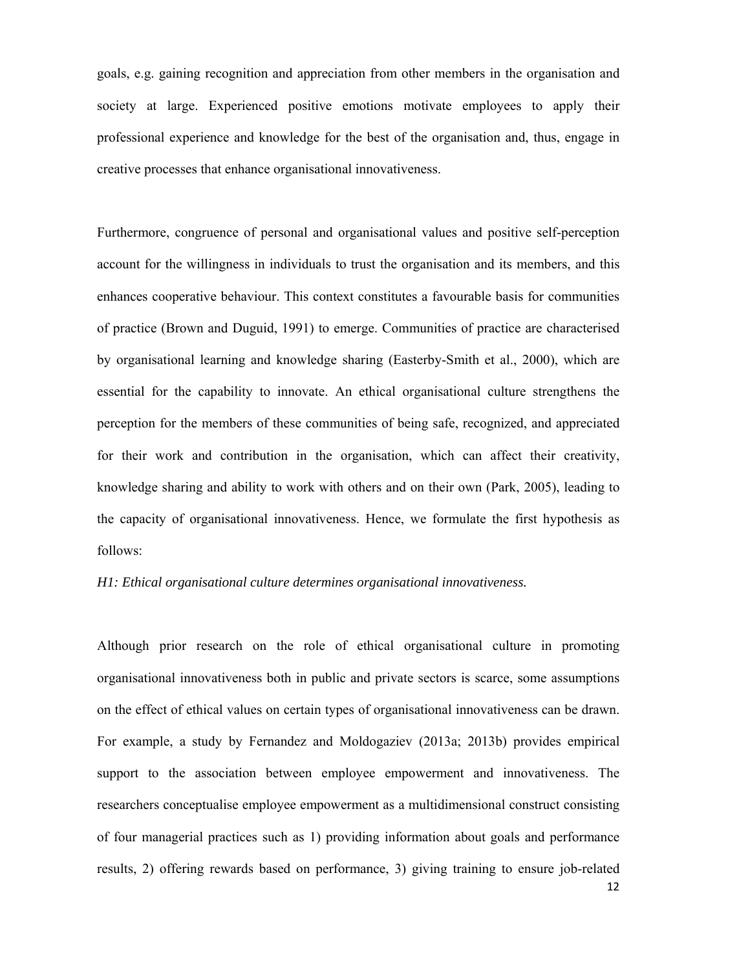goals, e.g. gaining recognition and appreciation from other members in the organisation and society at large. Experienced positive emotions motivate employees to apply their professional experience and knowledge for the best of the organisation and, thus, engage in creative processes that enhance organisational innovativeness.

Furthermore, congruence of personal and organisational values and positive self-perception account for the willingness in individuals to trust the organisation and its members, and this enhances cooperative behaviour. This context constitutes a favourable basis for communities of practice (Brown and Duguid, 1991) to emerge. Communities of practice are characterised by organisational learning and knowledge sharing (Easterby-Smith et al., 2000), which are essential for the capability to innovate. An ethical organisational culture strengthens the perception for the members of these communities of being safe, recognized, and appreciated for their work and contribution in the organisation, which can affect their creativity, knowledge sharing and ability to work with others and on their own (Park, 2005), leading to the capacity of organisational innovativeness. Hence, we formulate the first hypothesis as follows:

#### *H1: Ethical organisational culture determines organisational innovativeness.*

12 Although prior research on the role of ethical organisational culture in promoting organisational innovativeness both in public and private sectors is scarce, some assumptions on the effect of ethical values on certain types of organisational innovativeness can be drawn. For example, a study by Fernandez and Moldogaziev (2013a; 2013b) provides empirical support to the association between employee empowerment and innovativeness. The researchers conceptualise employee empowerment as a multidimensional construct consisting of four managerial practices such as 1) providing information about goals and performance results, 2) offering rewards based on performance, 3) giving training to ensure job-related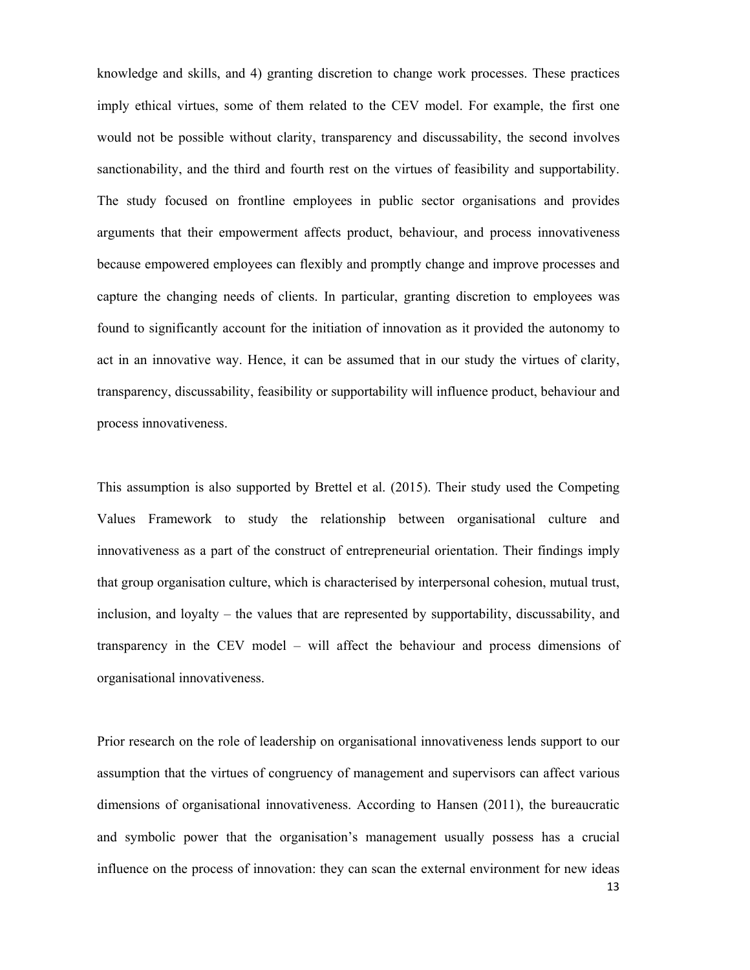knowledge and skills, and 4) granting discretion to change work processes. These practices imply ethical virtues, some of them related to the CEV model. For example, the first one would not be possible without clarity, transparency and discussability, the second involves sanctionability, and the third and fourth rest on the virtues of feasibility and supportability. The study focused on frontline employees in public sector organisations and provides arguments that their empowerment affects product, behaviour, and process innovativeness because empowered employees can flexibly and promptly change and improve processes and capture the changing needs of clients. In particular, granting discretion to employees was found to significantly account for the initiation of innovation as it provided the autonomy to act in an innovative way. Hence, it can be assumed that in our study the virtues of clarity, transparency, discussability, feasibility or supportability will influence product, behaviour and process innovativeness.

This assumption is also supported by Brettel et al. (2015). Their study used the Competing Values Framework to study the relationship between organisational culture and innovativeness as a part of the construct of entrepreneurial orientation. Their findings imply that group organisation culture, which is characterised by interpersonal cohesion, mutual trust, inclusion, and loyalty – the values that are represented by supportability, discussability, and transparency in the CEV model – will affect the behaviour and process dimensions of organisational innovativeness.

Prior research on the role of leadership on organisational innovativeness lends support to our assumption that the virtues of congruency of management and supervisors can affect various dimensions of organisational innovativeness. According to Hansen (2011), the bureaucratic and symbolic power that the organisation's management usually possess has a crucial influence on the process of innovation: they can scan the external environment for new ideas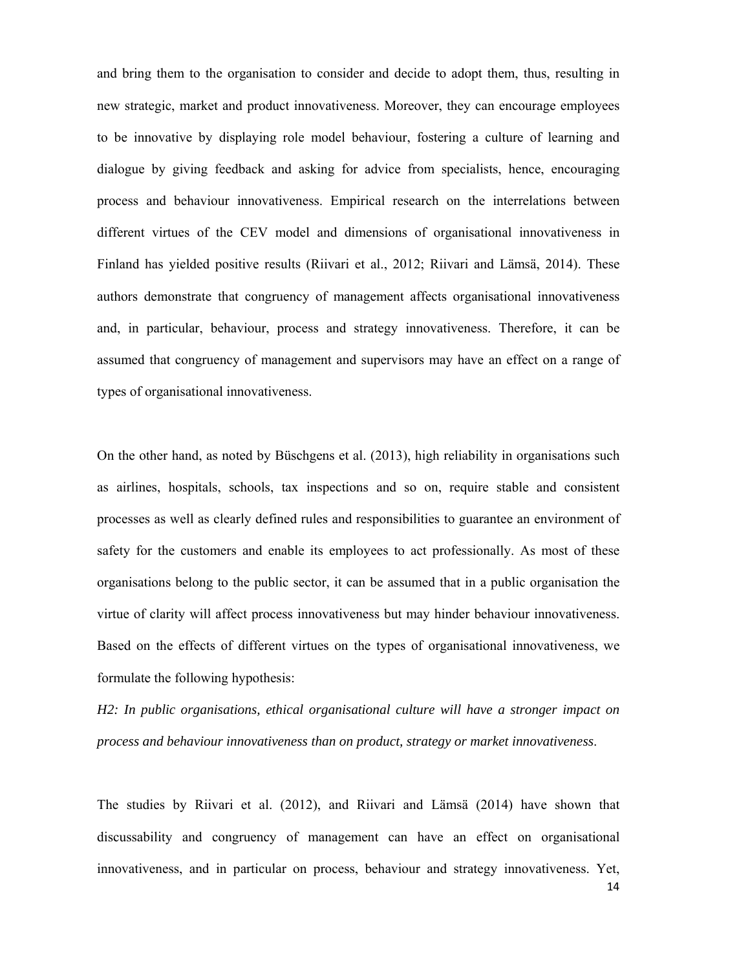and bring them to the organisation to consider and decide to adopt them, thus, resulting in new strategic, market and product innovativeness. Moreover, they can encourage employees to be innovative by displaying role model behaviour, fostering a culture of learning and dialogue by giving feedback and asking for advice from specialists, hence, encouraging process and behaviour innovativeness. Empirical research on the interrelations between different virtues of the CEV model and dimensions of organisational innovativeness in Finland has yielded positive results (Riivari et al., 2012; Riivari and Lämsä, 2014). These authors demonstrate that congruency of management affects organisational innovativeness and, in particular, behaviour, process and strategy innovativeness. Therefore, it can be assumed that congruency of management and supervisors may have an effect on a range of types of organisational innovativeness.

On the other hand, as noted by Büschgens et al. (2013), high reliability in organisations such as airlines, hospitals, schools, tax inspections and so on, require stable and consistent processes as well as clearly defined rules and responsibilities to guarantee an environment of safety for the customers and enable its employees to act professionally. As most of these organisations belong to the public sector, it can be assumed that in a public organisation the virtue of clarity will affect process innovativeness but may hinder behaviour innovativeness. Based on the effects of different virtues on the types of organisational innovativeness, we formulate the following hypothesis:

*H2: In public organisations, ethical organisational culture will have a stronger impact on process and behaviour innovativeness than on product, strategy or market innovativeness*.

The studies by Riivari et al. (2012), and Riivari and Lämsä (2014) have shown that discussability and congruency of management can have an effect on organisational innovativeness, and in particular on process, behaviour and strategy innovativeness. Yet,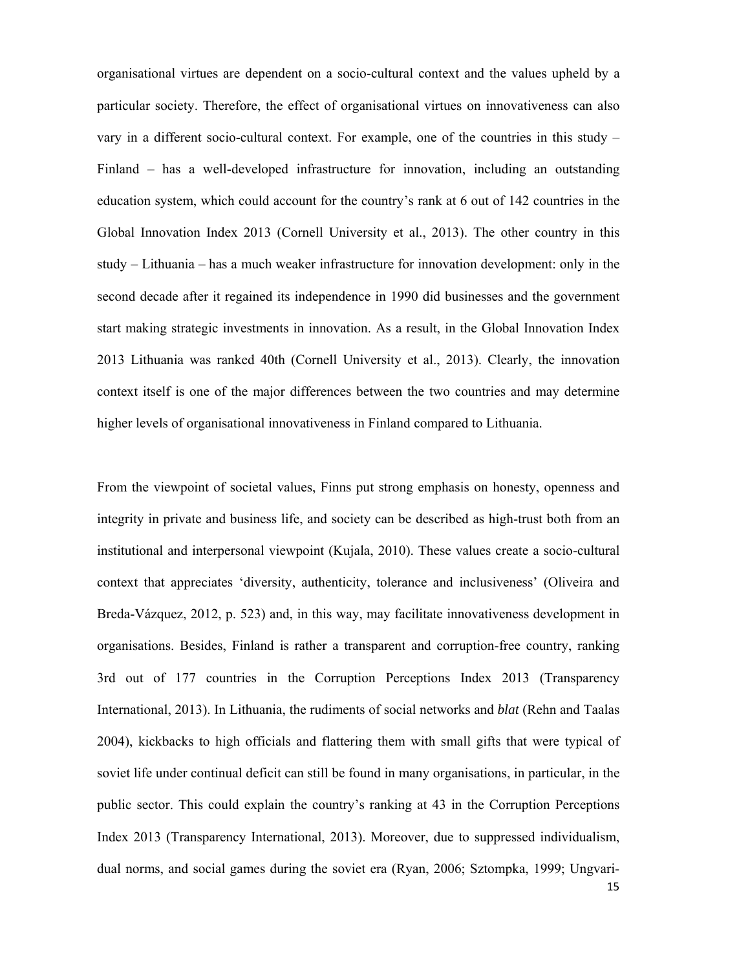organisational virtues are dependent on a socio-cultural context and the values upheld by a particular society. Therefore, the effect of organisational virtues on innovativeness can also vary in a different socio-cultural context. For example, one of the countries in this study – Finland – has a well-developed infrastructure for innovation, including an outstanding education system, which could account for the country's rank at 6 out of 142 countries in the Global Innovation Index 2013 (Cornell University et al., 2013). The other country in this study – Lithuania – has a much weaker infrastructure for innovation development: only in the second decade after it regained its independence in 1990 did businesses and the government start making strategic investments in innovation. As a result, in the Global Innovation Index 2013 Lithuania was ranked 40th (Cornell University et al., 2013). Clearly, the innovation context itself is one of the major differences between the two countries and may determine higher levels of organisational innovativeness in Finland compared to Lithuania.

15 From the viewpoint of societal values, Finns put strong emphasis on honesty, openness and integrity in private and business life, and society can be described as high-trust both from an institutional and interpersonal viewpoint (Kujala, 2010). These values create a socio-cultural context that appreciates 'diversity, authenticity, tolerance and inclusiveness' (Oliveira and Breda-Vázquez, 2012, p. 523) and, in this way, may facilitate innovativeness development in organisations. Besides, Finland is rather a transparent and corruption-free country, ranking 3rd out of 177 countries in the Corruption Perceptions Index 2013 (Transparency International, 2013). In Lithuania, the rudiments of social networks and *blat* (Rehn and Taalas 2004), kickbacks to high officials and flattering them with small gifts that were typical of soviet life under continual deficit can still be found in many organisations, in particular, in the public sector. This could explain the country's ranking at 43 in the Corruption Perceptions Index 2013 (Transparency International, 2013). Moreover, due to suppressed individualism, dual norms, and social games during the soviet era (Ryan, 2006; Sztompka, 1999; Ungvari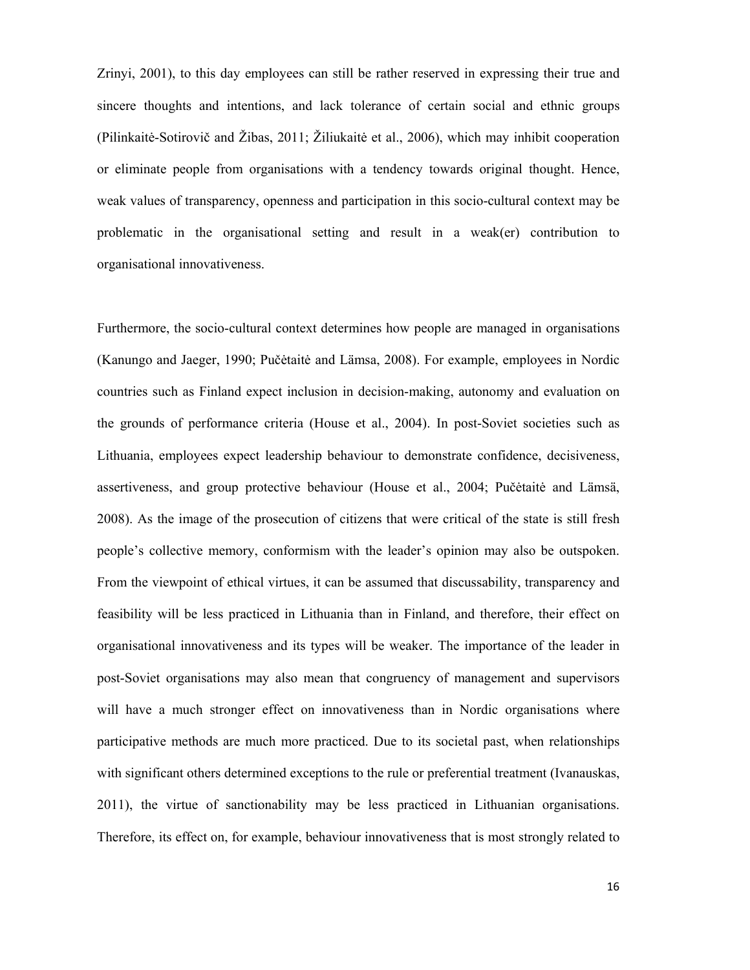Zrinyi, 2001), to this day employees can still be rather reserved in expressing their true and sincere thoughts and intentions, and lack tolerance of certain social and ethnic groups (Pilinkaitė-Sotirovič and Žibas, 2011; Žiliukaitė et al., 2006), which may inhibit cooperation or eliminate people from organisations with a tendency towards original thought. Hence, weak values of transparency, openness and participation in this socio-cultural context may be problematic in the organisational setting and result in a weak(er) contribution to organisational innovativeness.

Furthermore, the socio-cultural context determines how people are managed in organisations (Kanungo and Jaeger, 1990; Pučėtaitė and Lämsa, 2008). For example, employees in Nordic countries such as Finland expect inclusion in decision-making, autonomy and evaluation on the grounds of performance criteria (House et al., 2004). In post-Soviet societies such as Lithuania, employees expect leadership behaviour to demonstrate confidence, decisiveness, assertiveness, and group protective behaviour (House et al., 2004; Pučėtaitė and Lämsä, 2008). As the image of the prosecution of citizens that were critical of the state is still fresh people's collective memory, conformism with the leader's opinion may also be outspoken. From the viewpoint of ethical virtues, it can be assumed that discussability, transparency and feasibility will be less practiced in Lithuania than in Finland, and therefore, their effect on organisational innovativeness and its types will be weaker. The importance of the leader in post-Soviet organisations may also mean that congruency of management and supervisors will have a much stronger effect on innovativeness than in Nordic organisations where participative methods are much more practiced. Due to its societal past, when relationships with significant others determined exceptions to the rule or preferential treatment (Ivanauskas, 2011), the virtue of sanctionability may be less practiced in Lithuanian organisations. Therefore, its effect on, for example, behaviour innovativeness that is most strongly related to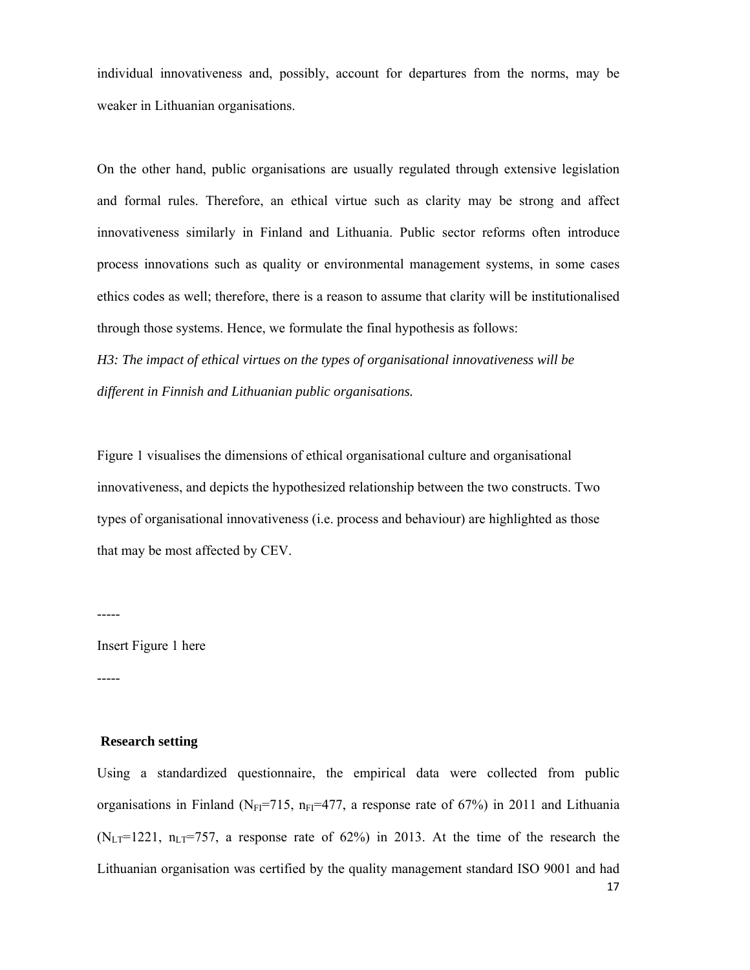individual innovativeness and, possibly, account for departures from the norms, may be weaker in Lithuanian organisations.

On the other hand, public organisations are usually regulated through extensive legislation and formal rules. Therefore, an ethical virtue such as clarity may be strong and affect innovativeness similarly in Finland and Lithuania. Public sector reforms often introduce process innovations such as quality or environmental management systems, in some cases ethics codes as well; therefore, there is a reason to assume that clarity will be institutionalised through those systems. Hence, we formulate the final hypothesis as follows:

*H3: The impact of ethical virtues on the types of organisational innovativeness will be different in Finnish and Lithuanian public organisations.* 

Figure 1 visualises the dimensions of ethical organisational culture and organisational innovativeness, and depicts the hypothesized relationship between the two constructs. Two types of organisational innovativeness (i.e. process and behaviour) are highlighted as those that may be most affected by CEV.

-----

Insert Figure 1 here

-----

#### **Research setting**

17 Using a standardized questionnaire, the empirical data were collected from public organisations in Finland (N<sub>FI</sub>=715, n<sub>FI</sub>=477, a response rate of 67%) in 2011 and Lithuania  $(N_{\text{LT}}=1221, n_{\text{LT}}=757, a$  response rate of 62%) in 2013. At the time of the research the Lithuanian organisation was certified by the quality management standard ISO 9001 and had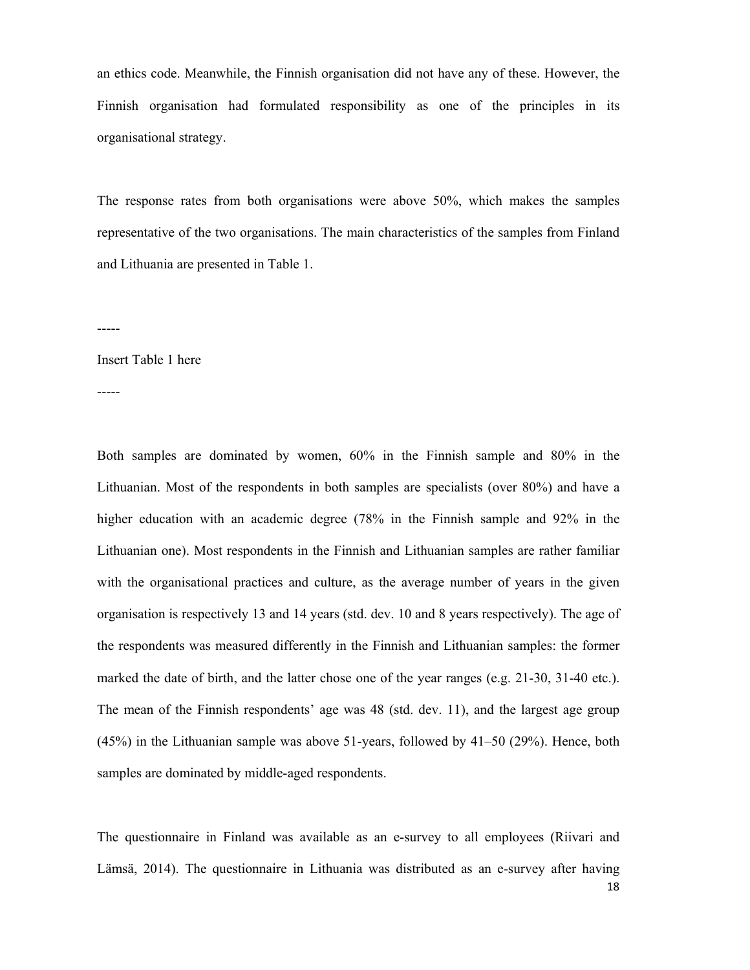an ethics code. Meanwhile, the Finnish organisation did not have any of these. However, the Finnish organisation had formulated responsibility as one of the principles in its organisational strategy.

The response rates from both organisations were above 50%, which makes the samples representative of the two organisations. The main characteristics of the samples from Finland and Lithuania are presented in Table 1.

-----

#### Insert Table 1 here

-----

Both samples are dominated by women, 60% in the Finnish sample and 80% in the Lithuanian. Most of the respondents in both samples are specialists (over 80%) and have a higher education with an academic degree (78% in the Finnish sample and 92% in the Lithuanian one). Most respondents in the Finnish and Lithuanian samples are rather familiar with the organisational practices and culture, as the average number of years in the given organisation is respectively 13 and 14 years (std. dev. 10 and 8 years respectively). The age of the respondents was measured differently in the Finnish and Lithuanian samples: the former marked the date of birth, and the latter chose one of the year ranges (e.g. 21-30, 31-40 etc.). The mean of the Finnish respondents' age was 48 (std. dev. 11), and the largest age group (45%) in the Lithuanian sample was above 51-years, followed by 41–50 (29%). Hence, both samples are dominated by middle-aged respondents.

18 The questionnaire in Finland was available as an e-survey to all employees (Riivari and Lämsä, 2014). The questionnaire in Lithuania was distributed as an e-survey after having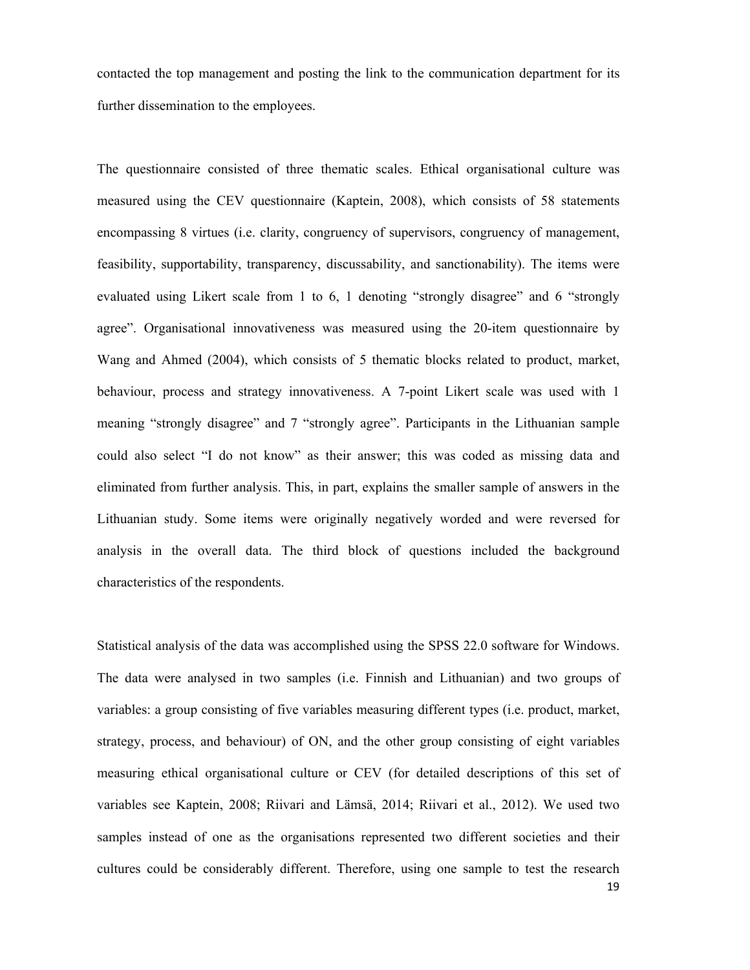contacted the top management and posting the link to the communication department for its further dissemination to the employees.

The questionnaire consisted of three thematic scales. Ethical organisational culture was measured using the CEV questionnaire (Kaptein, 2008), which consists of 58 statements encompassing 8 virtues (i.e. clarity, congruency of supervisors, congruency of management, feasibility, supportability, transparency, discussability, and sanctionability). The items were evaluated using Likert scale from 1 to 6, 1 denoting "strongly disagree" and 6 "strongly agree". Organisational innovativeness was measured using the 20-item questionnaire by Wang and Ahmed (2004), which consists of 5 thematic blocks related to product, market, behaviour, process and strategy innovativeness. A 7-point Likert scale was used with 1 meaning "strongly disagree" and 7 "strongly agree". Participants in the Lithuanian sample could also select "I do not know" as their answer; this was coded as missing data and eliminated from further analysis. This, in part, explains the smaller sample of answers in the Lithuanian study. Some items were originally negatively worded and were reversed for analysis in the overall data. The third block of questions included the background characteristics of the respondents.

19 Statistical analysis of the data was accomplished using the SPSS 22.0 software for Windows. The data were analysed in two samples (i.e. Finnish and Lithuanian) and two groups of variables: a group consisting of five variables measuring different types (i.e. product, market, strategy, process, and behaviour) of ON, and the other group consisting of eight variables measuring ethical organisational culture or CEV (for detailed descriptions of this set of variables see Kaptein, 2008; Riivari and Lämsä, 2014; Riivari et al., 2012). We used two samples instead of one as the organisations represented two different societies and their cultures could be considerably different. Therefore, using one sample to test the research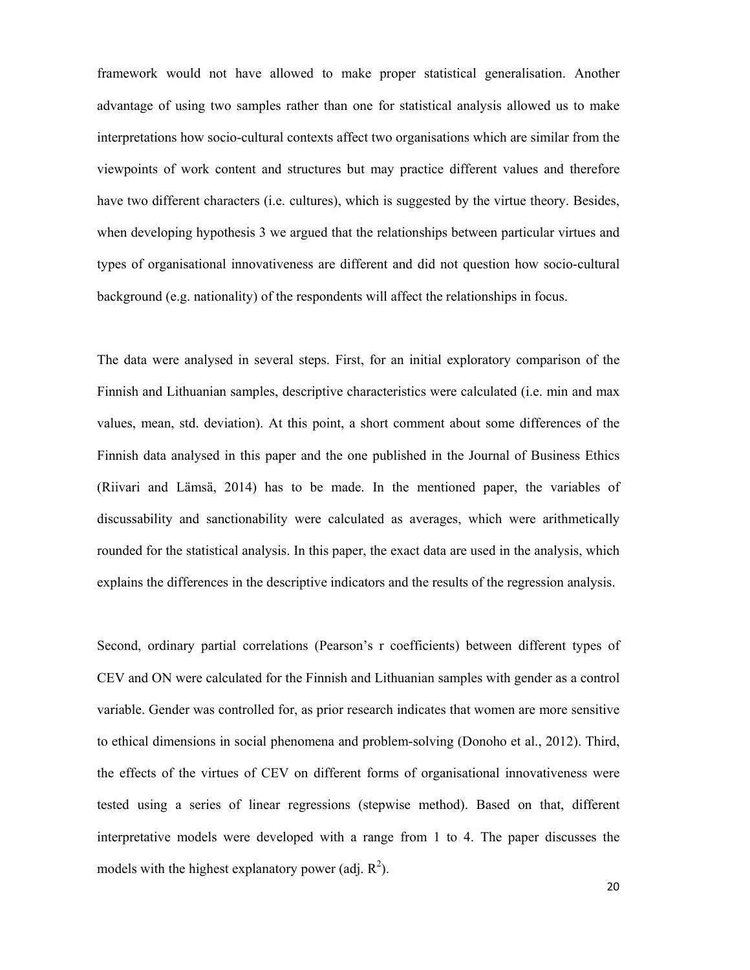framework would not have allowed to make proper statistical generalisation. Another advantage of using two samples rather than one for statistical analysis allowed us to make interpretations how socio-cultural contexts affect two organisations which are similar from the viewpoints of work content and structures but may practice different values and therefore have two different characters (i.e. cultures), which is suggested by the virtue theory. Besides, when developing hypothesis 3 we argued that the relationships between particular virtues and types of organisational innovativeness are different and did not question how socio-cultural background (e.g. nationality) of the respondents will affect the relationships in focus.

The data were analysed in several steps. First, for an initial exploratory comparison of the Finnish and Lithuanian samples, descriptive characteristics were calculated (i.e. min and max values, mean, std. deviation). At this point, a short comment about some differences of the Finnish data analysed in this paper and the one published in the Journal of Business Ethics (Riivari and Lämsä, 2014) has to be made. In the mentioned paper, the variables of discussability and sanctionability were calculated as averages, which were arithmetically rounded for the statistical analysis. In this paper, the exact data are used in the analysis, which explains the differences in the descriptive indicators and the results of the regression analysis.

Second, ordinary partial correlations (Pearson's r coefficients) between different types of CEV and ON were calculated for the Finnish and Lithuanian samples with gender as a control variable. Gender was controlled for, as prior research indicates that women are more sensitive to ethical dimensions in social phenomena and problem-solving (Donoho et al., 2012). Third, the effects of the virtues of CEV on different forms of organisational innovativeness were tested using a series of linear regressions (stepwise method). Based on that, different interpretative models were developed with a range from 1 to 4. The paper discusses the models with the highest explanatory power (adj.  $R^2$ ).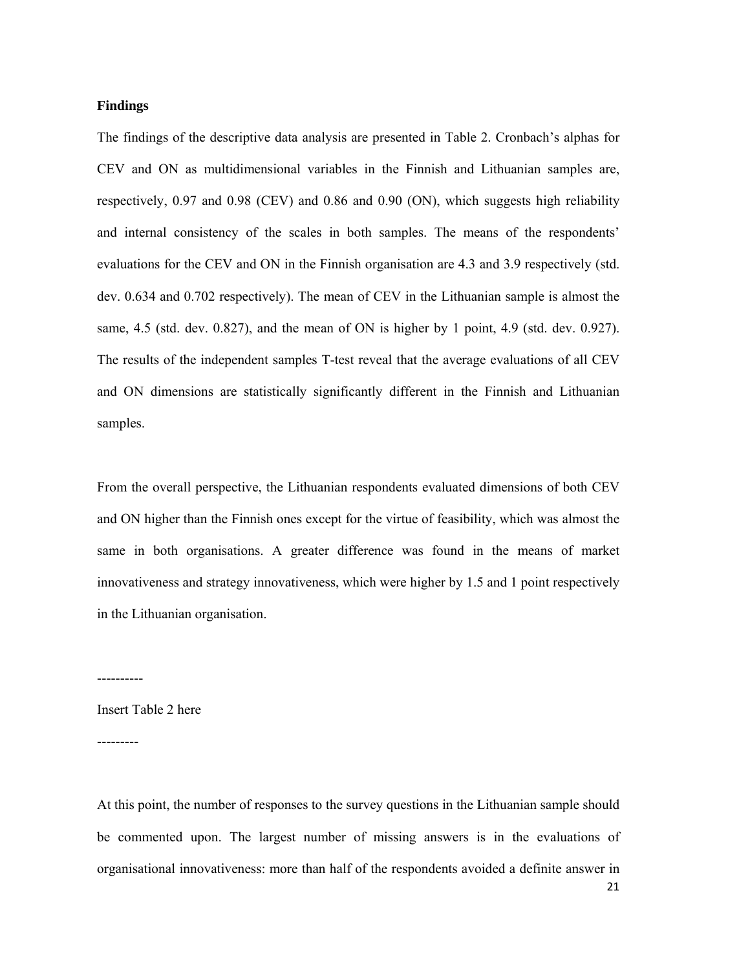#### **Findings**

The findings of the descriptive data analysis are presented in Table 2. Cronbach's alphas for CEV and ON as multidimensional variables in the Finnish and Lithuanian samples are, respectively, 0.97 and 0.98 (CEV) and 0.86 and 0.90 (ON), which suggests high reliability and internal consistency of the scales in both samples. The means of the respondents' evaluations for the CEV and ON in the Finnish organisation are 4.3 and 3.9 respectively (std. dev. 0.634 and 0.702 respectively). The mean of CEV in the Lithuanian sample is almost the same, 4.5 (std. dev. 0.827), and the mean of ON is higher by 1 point, 4.9 (std. dev. 0.927). The results of the independent samples T-test reveal that the average evaluations of all CEV and ON dimensions are statistically significantly different in the Finnish and Lithuanian samples.

From the overall perspective, the Lithuanian respondents evaluated dimensions of both CEV and ON higher than the Finnish ones except for the virtue of feasibility, which was almost the same in both organisations. A greater difference was found in the means of market innovativeness and strategy innovativeness, which were higher by 1.5 and 1 point respectively in the Lithuanian organisation.

----------

Insert Table 2 here

---------

21 At this point, the number of responses to the survey questions in the Lithuanian sample should be commented upon. The largest number of missing answers is in the evaluations of organisational innovativeness: more than half of the respondents avoided a definite answer in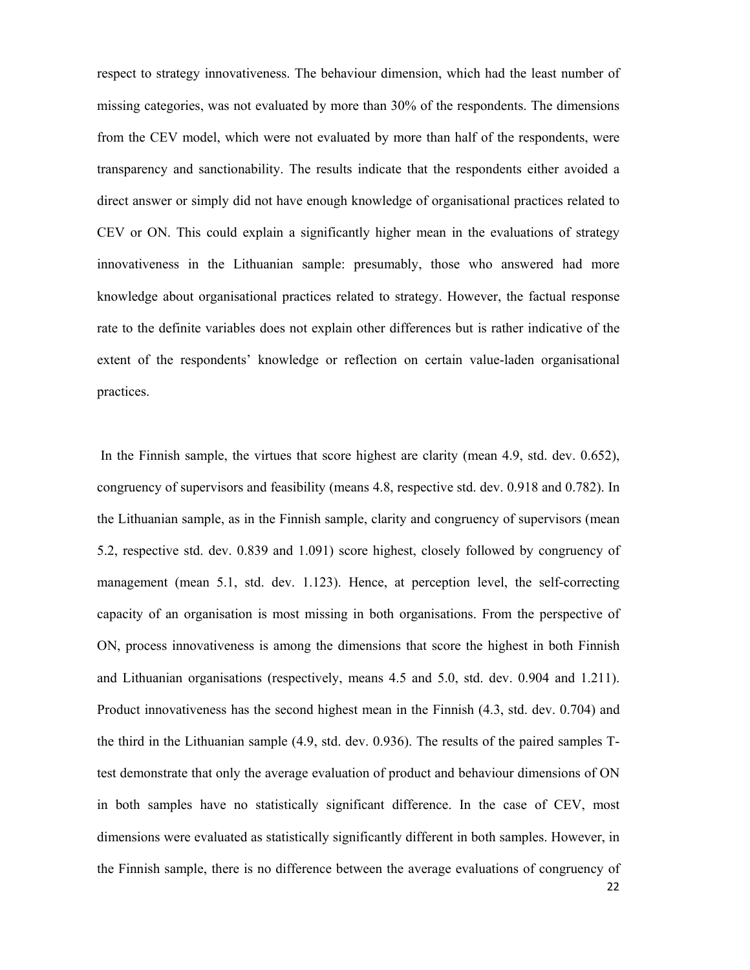respect to strategy innovativeness. The behaviour dimension, which had the least number of missing categories, was not evaluated by more than 30% of the respondents. The dimensions from the CEV model, which were not evaluated by more than half of the respondents, were transparency and sanctionability. The results indicate that the respondents either avoided a direct answer or simply did not have enough knowledge of organisational practices related to CEV or ON. This could explain a significantly higher mean in the evaluations of strategy innovativeness in the Lithuanian sample: presumably, those who answered had more knowledge about organisational practices related to strategy. However, the factual response rate to the definite variables does not explain other differences but is rather indicative of the extent of the respondents' knowledge or reflection on certain value-laden organisational practices.

22 In the Finnish sample, the virtues that score highest are clarity (mean 4.9, std. dev. 0.652), congruency of supervisors and feasibility (means 4.8, respective std. dev. 0.918 and 0.782). In the Lithuanian sample, as in the Finnish sample, clarity and congruency of supervisors (mean 5.2, respective std. dev. 0.839 and 1.091) score highest, closely followed by congruency of management (mean 5.1, std. dev. 1.123). Hence, at perception level, the self-correcting capacity of an organisation is most missing in both organisations. From the perspective of ON, process innovativeness is among the dimensions that score the highest in both Finnish and Lithuanian organisations (respectively, means 4.5 and 5.0, std. dev. 0.904 and 1.211). Product innovativeness has the second highest mean in the Finnish (4.3, std. dev. 0.704) and the third in the Lithuanian sample (4.9, std. dev. 0.936). The results of the paired samples Ttest demonstrate that only the average evaluation of product and behaviour dimensions of ON in both samples have no statistically significant difference. In the case of CEV, most dimensions were evaluated as statistically significantly different in both samples. However, in the Finnish sample, there is no difference between the average evaluations of congruency of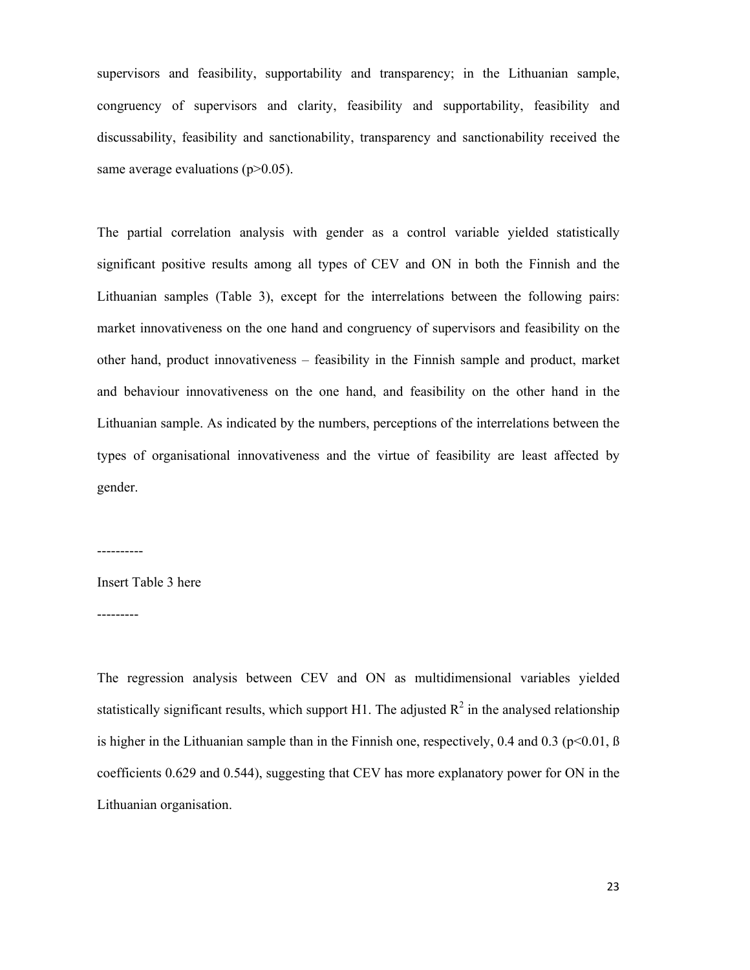supervisors and feasibility, supportability and transparency; in the Lithuanian sample, congruency of supervisors and clarity, feasibility and supportability, feasibility and discussability, feasibility and sanctionability, transparency and sanctionability received the same average evaluations  $(p>0.05)$ .

The partial correlation analysis with gender as a control variable yielded statistically significant positive results among all types of CEV and ON in both the Finnish and the Lithuanian samples (Table 3), except for the interrelations between the following pairs: market innovativeness on the one hand and congruency of supervisors and feasibility on the other hand, product innovativeness – feasibility in the Finnish sample and product, market and behaviour innovativeness on the one hand, and feasibility on the other hand in the Lithuanian sample. As indicated by the numbers, perceptions of the interrelations between the types of organisational innovativeness and the virtue of feasibility are least affected by gender.

----------

---------

Insert Table 3 here

The regression analysis between CEV and ON as multidimensional variables yielded statistically significant results, which support H1. The adjusted  $R^2$  in the analysed relationship is higher in the Lithuanian sample than in the Finnish one, respectively,  $0.4$  and  $0.3$  ( $p<0.01$ ,  $\beta$ ) coefficients 0.629 and 0.544), suggesting that CEV has more explanatory power for ON in the Lithuanian organisation.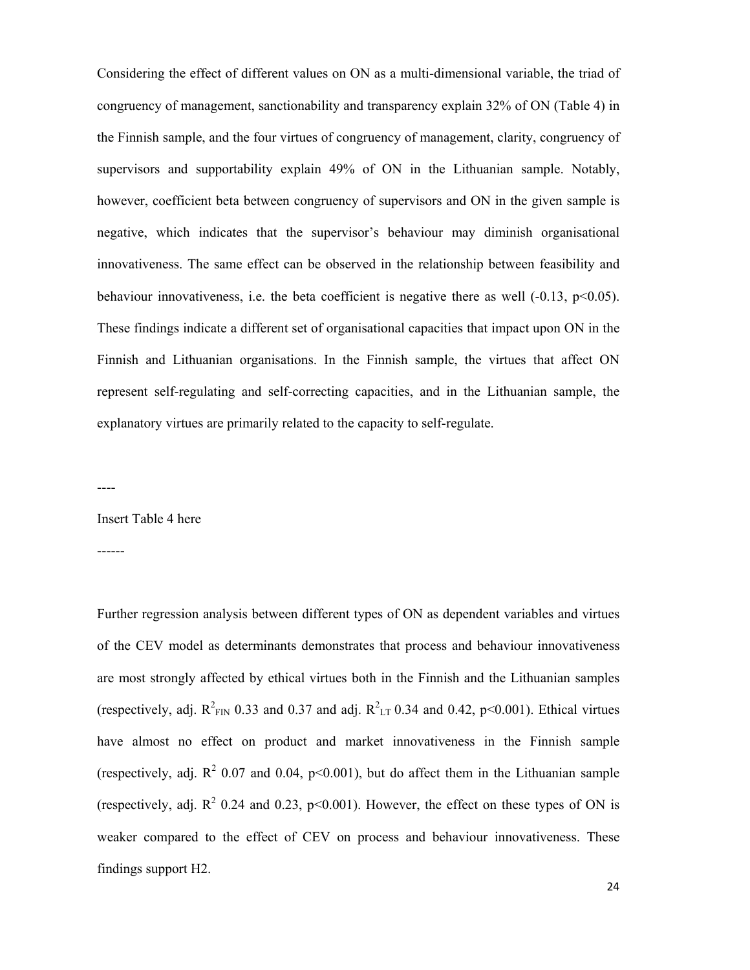Considering the effect of different values on ON as a multi-dimensional variable, the triad of congruency of management, sanctionability and transparency explain 32% of ON (Table 4) in the Finnish sample, and the four virtues of congruency of management, clarity, congruency of supervisors and supportability explain 49% of ON in the Lithuanian sample. Notably, however, coefficient beta between congruency of supervisors and ON in the given sample is negative, which indicates that the supervisor's behaviour may diminish organisational innovativeness. The same effect can be observed in the relationship between feasibility and behaviour innovativeness, i.e. the beta coefficient is negative there as well  $(-0.13, p<0.05)$ . These findings indicate a different set of organisational capacities that impact upon ON in the Finnish and Lithuanian organisations. In the Finnish sample, the virtues that affect ON represent self-regulating and self-correcting capacities, and in the Lithuanian sample, the explanatory virtues are primarily related to the capacity to self-regulate.

----

Insert Table 4 here

------

Further regression analysis between different types of ON as dependent variables and virtues of the CEV model as determinants demonstrates that process and behaviour innovativeness are most strongly affected by ethical virtues both in the Finnish and the Lithuanian samples (respectively, adj.  $R^2_{\text{FIN}}$  0.33 and 0.37 and adj.  $R^2_{\text{LT}}$  0.34 and 0.42, p<0.001). Ethical virtues have almost no effect on product and market innovativeness in the Finnish sample (respectively, adj.  $\mathbb{R}^2$  0.07 and 0.04, p<0.001), but do affect them in the Lithuanian sample (respectively, adj.  $R^2$  0.24 and 0.23, p<0.001). However, the effect on these types of ON is weaker compared to the effect of CEV on process and behaviour innovativeness. These findings support H2.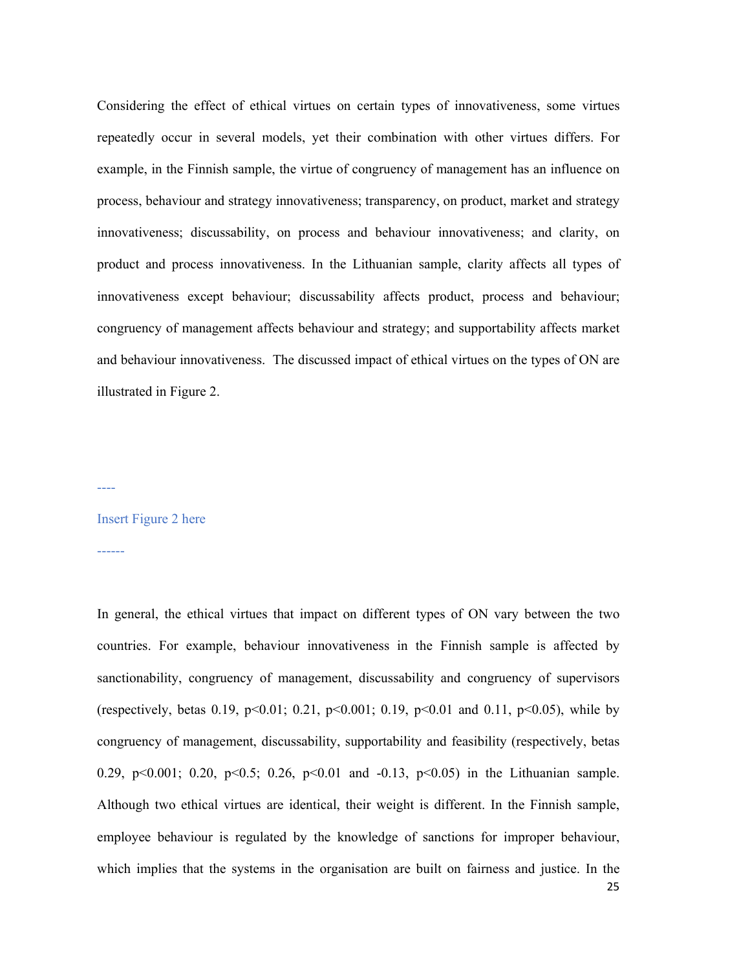Considering the effect of ethical virtues on certain types of innovativeness, some virtues repeatedly occur in several models, yet their combination with other virtues differs. For example, in the Finnish sample, the virtue of congruency of management has an influence on process, behaviour and strategy innovativeness; transparency, on product, market and strategy innovativeness; discussability, on process and behaviour innovativeness; and clarity, on product and process innovativeness. In the Lithuanian sample, clarity affects all types of innovativeness except behaviour; discussability affects product, process and behaviour; congruency of management affects behaviour and strategy; and supportability affects market and behaviour innovativeness. The discussed impact of ethical virtues on the types of ON are illustrated in Figure 2.

----

## Insert Figure 2 here

------

In general, the ethical virtues that impact on different types of ON vary between the two countries. For example, behaviour innovativeness in the Finnish sample is affected by sanctionability, congruency of management, discussability and congruency of supervisors (respectively, betas 0.19,  $p<0.01$ ; 0.21,  $p<0.001$ ; 0.19,  $p<0.01$  and 0.11,  $p<0.05$ ), while by congruency of management, discussability, supportability and feasibility (respectively, betas 0.29, p<0.001; 0.20, p<0.5; 0.26, p<0.01 and -0.13, p<0.05) in the Lithuanian sample. Although two ethical virtues are identical, their weight is different. In the Finnish sample, employee behaviour is regulated by the knowledge of sanctions for improper behaviour, which implies that the systems in the organisation are built on fairness and justice. In the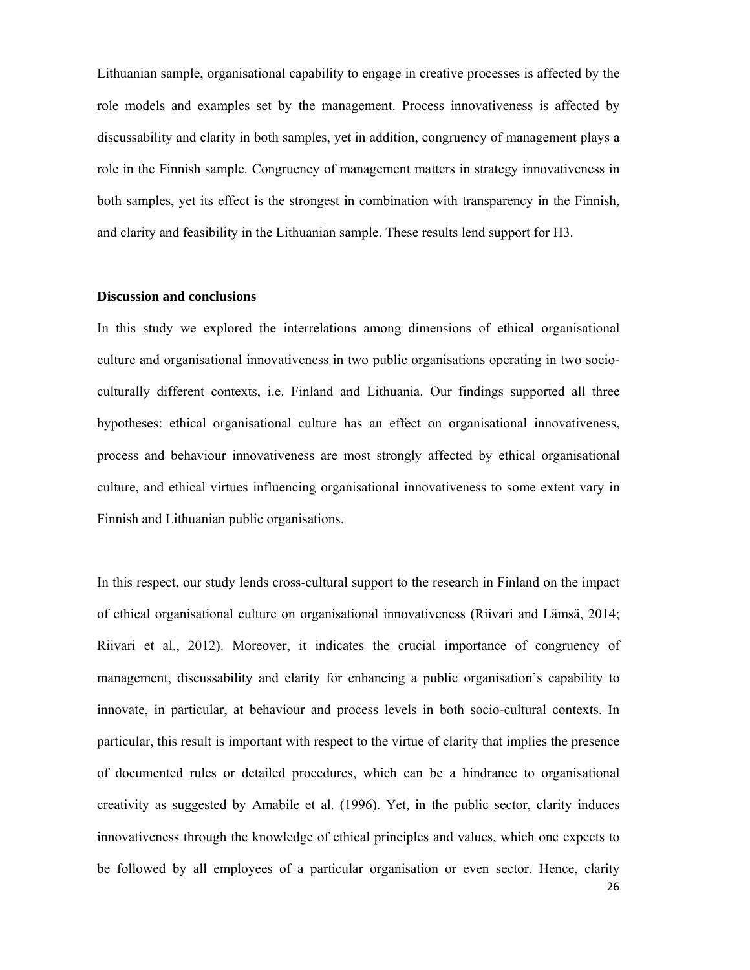Lithuanian sample, organisational capability to engage in creative processes is affected by the role models and examples set by the management. Process innovativeness is affected by discussability and clarity in both samples, yet in addition, congruency of management plays a role in the Finnish sample. Congruency of management matters in strategy innovativeness in both samples, yet its effect is the strongest in combination with transparency in the Finnish, and clarity and feasibility in the Lithuanian sample. These results lend support for H3.

#### **Discussion and conclusions**

In this study we explored the interrelations among dimensions of ethical organisational culture and organisational innovativeness in two public organisations operating in two socioculturally different contexts, i.e. Finland and Lithuania. Our findings supported all three hypotheses: ethical organisational culture has an effect on organisational innovativeness, process and behaviour innovativeness are most strongly affected by ethical organisational culture, and ethical virtues influencing organisational innovativeness to some extent vary in Finnish and Lithuanian public organisations.

26 In this respect, our study lends cross-cultural support to the research in Finland on the impact of ethical organisational culture on organisational innovativeness (Riivari and Lämsä, 2014; Riivari et al., 2012). Moreover, it indicates the crucial importance of congruency of management, discussability and clarity for enhancing a public organisation's capability to innovate, in particular, at behaviour and process levels in both socio-cultural contexts. In particular, this result is important with respect to the virtue of clarity that implies the presence of documented rules or detailed procedures, which can be a hindrance to organisational creativity as suggested by Amabile et al. (1996). Yet, in the public sector, clarity induces innovativeness through the knowledge of ethical principles and values, which one expects to be followed by all employees of a particular organisation or even sector. Hence, clarity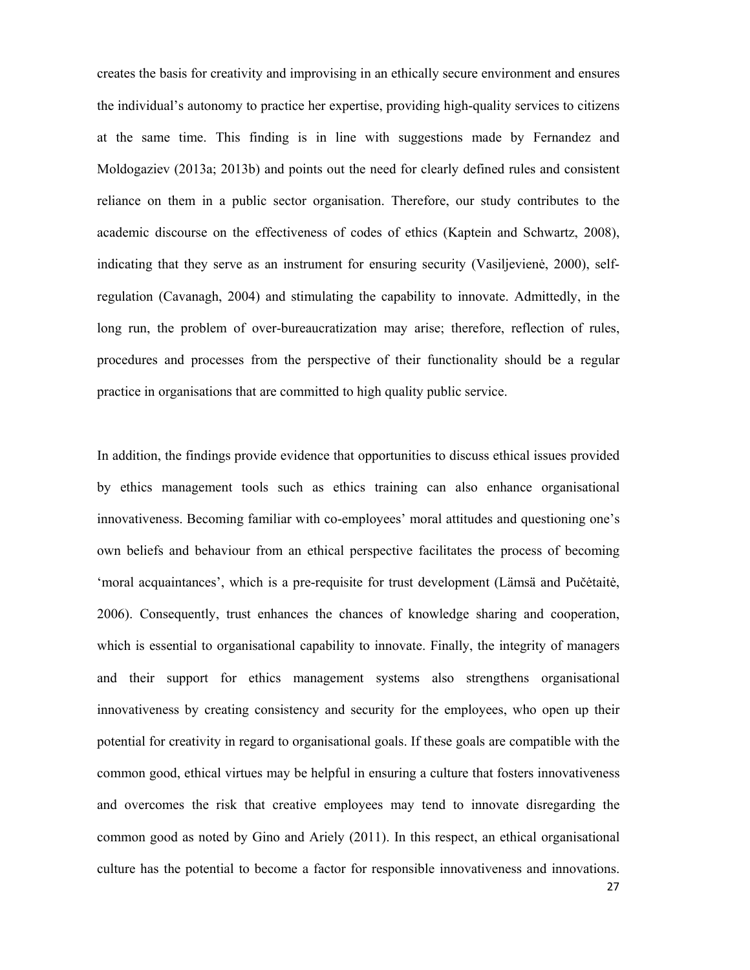creates the basis for creativity and improvising in an ethically secure environment and ensures the individual's autonomy to practice her expertise, providing high-quality services to citizens at the same time. This finding is in line with suggestions made by Fernandez and Moldogaziev (2013a; 2013b) and points out the need for clearly defined rules and consistent reliance on them in a public sector organisation. Therefore, our study contributes to the academic discourse on the effectiveness of codes of ethics (Kaptein and Schwartz, 2008), indicating that they serve as an instrument for ensuring security (Vasiljevienė, 2000), selfregulation (Cavanagh, 2004) and stimulating the capability to innovate. Admittedly, in the long run, the problem of over-bureaucratization may arise; therefore, reflection of rules, procedures and processes from the perspective of their functionality should be a regular practice in organisations that are committed to high quality public service.

In addition, the findings provide evidence that opportunities to discuss ethical issues provided by ethics management tools such as ethics training can also enhance organisational innovativeness. Becoming familiar with co-employees' moral attitudes and questioning one's own beliefs and behaviour from an ethical perspective facilitates the process of becoming 'moral acquaintances', which is a pre-requisite for trust development (Lämsä and Pučėtaitė, 2006). Consequently, trust enhances the chances of knowledge sharing and cooperation, which is essential to organisational capability to innovate. Finally, the integrity of managers and their support for ethics management systems also strengthens organisational innovativeness by creating consistency and security for the employees, who open up their potential for creativity in regard to organisational goals. If these goals are compatible with the common good, ethical virtues may be helpful in ensuring a culture that fosters innovativeness and overcomes the risk that creative employees may tend to innovate disregarding the common good as noted by Gino and Ariely (2011). In this respect, an ethical organisational culture has the potential to become a factor for responsible innovativeness and innovations.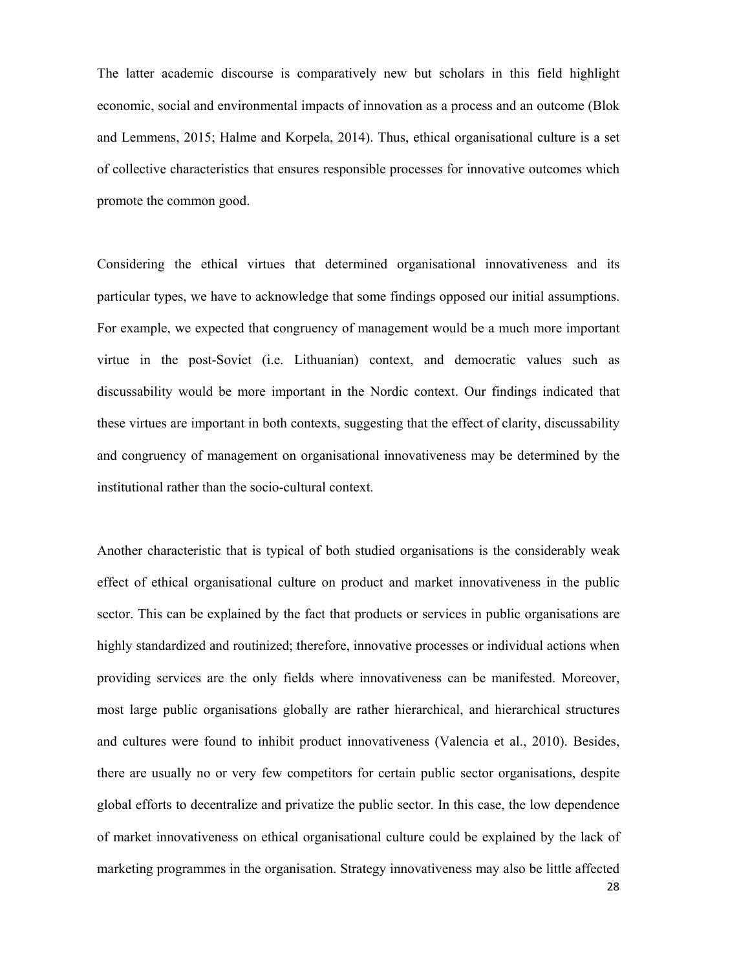The latter academic discourse is comparatively new but scholars in this field highlight economic, social and environmental impacts of innovation as a process and an outcome (Blok and Lemmens, 2015; Halme and Korpela, 2014). Thus, ethical organisational culture is a set of collective characteristics that ensures responsible processes for innovative outcomes which promote the common good.

Considering the ethical virtues that determined organisational innovativeness and its particular types, we have to acknowledge that some findings opposed our initial assumptions. For example, we expected that congruency of management would be a much more important virtue in the post-Soviet (i.e. Lithuanian) context, and democratic values such as discussability would be more important in the Nordic context. Our findings indicated that these virtues are important in both contexts, suggesting that the effect of clarity, discussability and congruency of management on organisational innovativeness may be determined by the institutional rather than the socio-cultural context.

28 Another characteristic that is typical of both studied organisations is the considerably weak effect of ethical organisational culture on product and market innovativeness in the public sector. This can be explained by the fact that products or services in public organisations are highly standardized and routinized; therefore, innovative processes or individual actions when providing services are the only fields where innovativeness can be manifested. Moreover, most large public organisations globally are rather hierarchical, and hierarchical structures and cultures were found to inhibit product innovativeness (Valencia et al., 2010). Besides, there are usually no or very few competitors for certain public sector organisations, despite global efforts to decentralize and privatize the public sector. In this case, the low dependence of market innovativeness on ethical organisational culture could be explained by the lack of marketing programmes in the organisation. Strategy innovativeness may also be little affected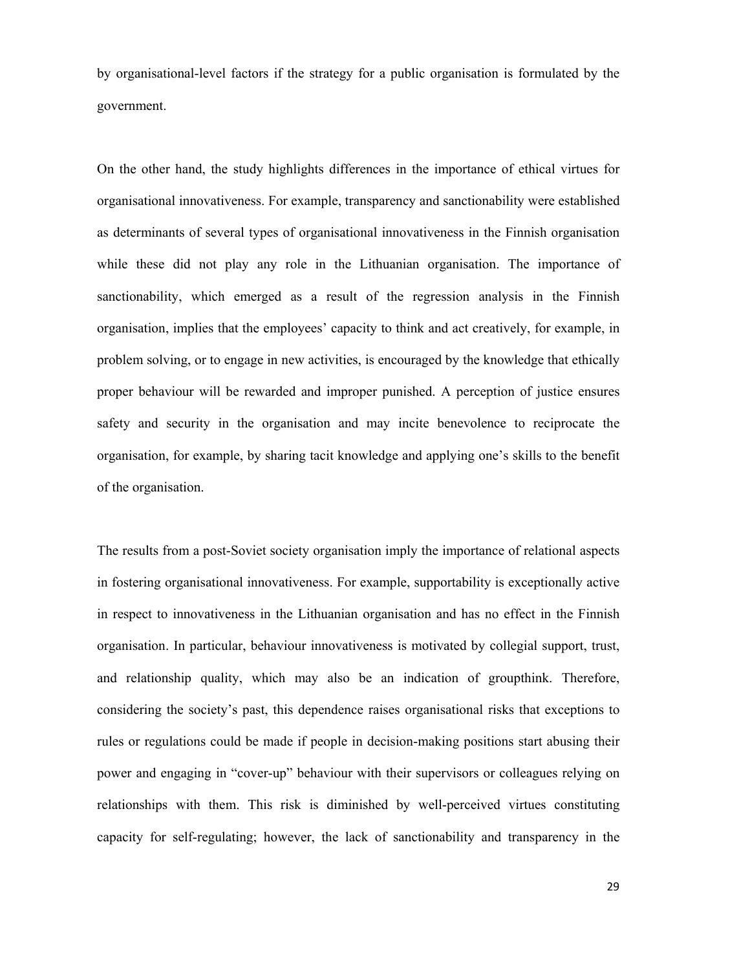by organisational-level factors if the strategy for a public organisation is formulated by the government.

On the other hand, the study highlights differences in the importance of ethical virtues for organisational innovativeness. For example, transparency and sanctionability were established as determinants of several types of organisational innovativeness in the Finnish organisation while these did not play any role in the Lithuanian organisation. The importance of sanctionability, which emerged as a result of the regression analysis in the Finnish organisation, implies that the employees' capacity to think and act creatively, for example, in problem solving, or to engage in new activities, is encouraged by the knowledge that ethically proper behaviour will be rewarded and improper punished. A perception of justice ensures safety and security in the organisation and may incite benevolence to reciprocate the organisation, for example, by sharing tacit knowledge and applying one's skills to the benefit of the organisation.

The results from a post-Soviet society organisation imply the importance of relational aspects in fostering organisational innovativeness. For example, supportability is exceptionally active in respect to innovativeness in the Lithuanian organisation and has no effect in the Finnish organisation. In particular, behaviour innovativeness is motivated by collegial support, trust, and relationship quality, which may also be an indication of groupthink. Therefore, considering the society's past, this dependence raises organisational risks that exceptions to rules or regulations could be made if people in decision-making positions start abusing their power and engaging in "cover-up" behaviour with their supervisors or colleagues relying on relationships with them. This risk is diminished by well-perceived virtues constituting capacity for self-regulating; however, the lack of sanctionability and transparency in the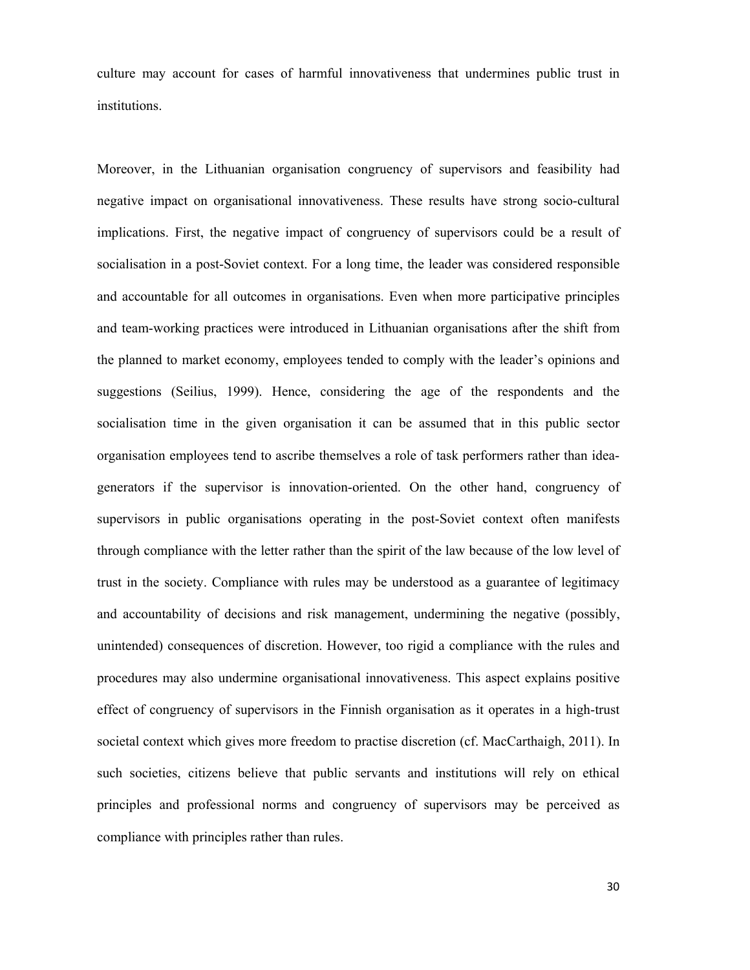culture may account for cases of harmful innovativeness that undermines public trust in institutions.

Moreover, in the Lithuanian organisation congruency of supervisors and feasibility had negative impact on organisational innovativeness. These results have strong socio-cultural implications. First, the negative impact of congruency of supervisors could be a result of socialisation in a post-Soviet context. For a long time, the leader was considered responsible and accountable for all outcomes in organisations. Even when more participative principles and team-working practices were introduced in Lithuanian organisations after the shift from the planned to market economy, employees tended to comply with the leader's opinions and suggestions (Seilius, 1999). Hence, considering the age of the respondents and the socialisation time in the given organisation it can be assumed that in this public sector organisation employees tend to ascribe themselves a role of task performers rather than ideagenerators if the supervisor is innovation-oriented. On the other hand, congruency of supervisors in public organisations operating in the post-Soviet context often manifests through compliance with the letter rather than the spirit of the law because of the low level of trust in the society. Compliance with rules may be understood as a guarantee of legitimacy and accountability of decisions and risk management, undermining the negative (possibly, unintended) consequences of discretion. However, too rigid a compliance with the rules and procedures may also undermine organisational innovativeness. This aspect explains positive effect of congruency of supervisors in the Finnish organisation as it operates in a high-trust societal context which gives more freedom to practise discretion (cf. MacCarthaigh, 2011). In such societies, citizens believe that public servants and institutions will rely on ethical principles and professional norms and congruency of supervisors may be perceived as compliance with principles rather than rules.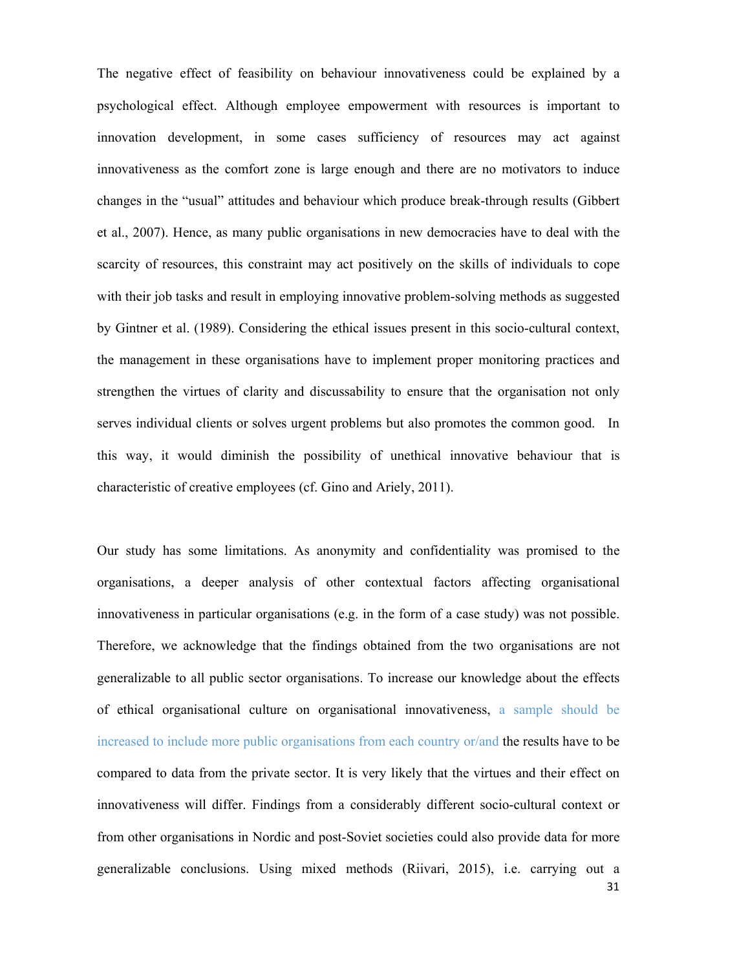The negative effect of feasibility on behaviour innovativeness could be explained by a psychological effect. Although employee empowerment with resources is important to innovation development, in some cases sufficiency of resources may act against innovativeness as the comfort zone is large enough and there are no motivators to induce changes in the "usual" attitudes and behaviour which produce break-through results (Gibbert et al., 2007). Hence, as many public organisations in new democracies have to deal with the scarcity of resources, this constraint may act positively on the skills of individuals to cope with their job tasks and result in employing innovative problem-solving methods as suggested by Gintner et al. (1989). Considering the ethical issues present in this socio-cultural context, the management in these organisations have to implement proper monitoring practices and strengthen the virtues of clarity and discussability to ensure that the organisation not only serves individual clients or solves urgent problems but also promotes the common good. In this way, it would diminish the possibility of unethical innovative behaviour that is characteristic of creative employees (cf. Gino and Ariely, 2011).

31 Our study has some limitations. As anonymity and confidentiality was promised to the organisations, a deeper analysis of other contextual factors affecting organisational innovativeness in particular organisations (e.g. in the form of a case study) was not possible. Therefore, we acknowledge that the findings obtained from the two organisations are not generalizable to all public sector organisations. To increase our knowledge about the effects of ethical organisational culture on organisational innovativeness, a sample should be increased to include more public organisations from each country or/and the results have to be compared to data from the private sector. It is very likely that the virtues and their effect on innovativeness will differ. Findings from a considerably different socio-cultural context or from other organisations in Nordic and post-Soviet societies could also provide data for more generalizable conclusions. Using mixed methods (Riivari, 2015), i.e. carrying out a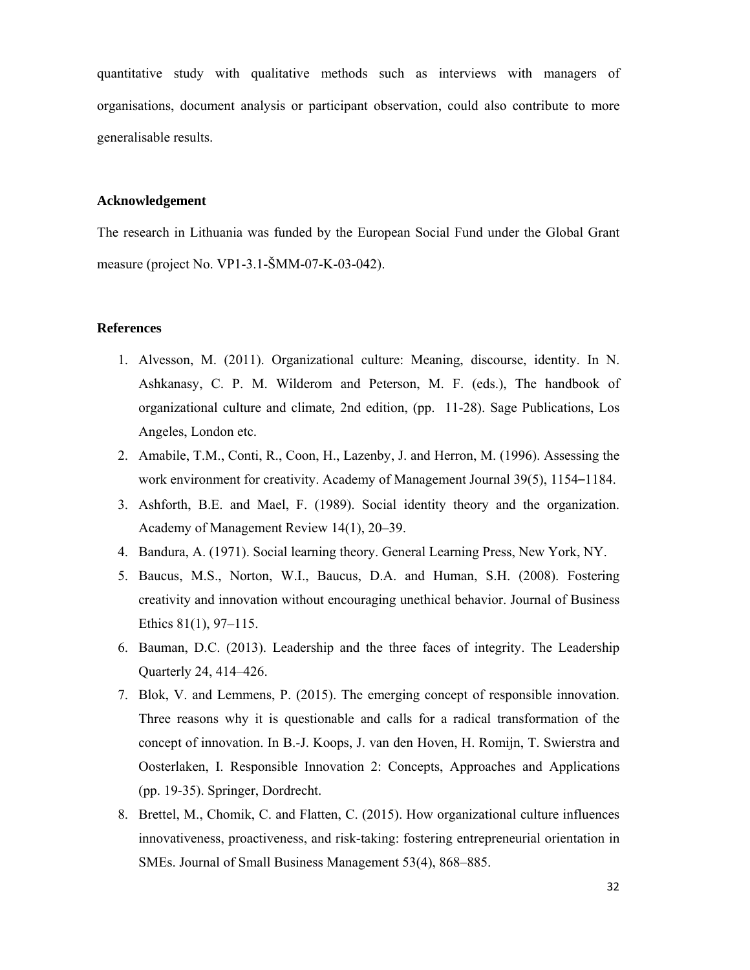quantitative study with qualitative methods such as interviews with managers of organisations, document analysis or participant observation, could also contribute to more generalisable results.

## **Acknowledgement**

The research in Lithuania was funded by the European Social Fund under the Global Grant measure (project No. VP1-3.1-ŠMM-07-K-03-042).

#### **References**

- 1. Alvesson, M. (2011). Organizational culture: Meaning, discourse, identity. In N. Ashkanasy, C. P. M. Wilderom and Peterson, M. F. (eds.), The handbook of organizational culture and climate*,* 2nd edition, (pp. 11-28). Sage Publications, Los Angeles, London etc.
- 2. Amabile, T.M., Conti, R., Coon, H., Lazenby, J. and Herron, M. (1996). Assessing the work environment for creativity. Academy of Management Journal 39(5), 1154–1184.
- 3. Ashforth, B.E. and Mael, F. (1989). Social identity theory and the organization. Academy of Management Review 14(1), 20–39.
- 4. Bandura, A. (1971). Social learning theory. General Learning Press, New York, NY.
- 5. Baucus, M.S., Norton, W.I., Baucus, D.A. and Human, S.H. (2008). Fostering creativity and innovation without encouraging unethical behavior. Journal of Business Ethics 81(1), 97–115.
- 6. Bauman, D.C. (2013). Leadership and the three faces of integrity. The Leadership Quarterly 24, 414–426.
- 7. Blok, V. and Lemmens, P. (2015). The emerging concept of responsible innovation. Three reasons why it is questionable and calls for a radical transformation of the concept of innovation. In B.-J. Koops, J. van den Hoven, H. Romijn, T. Swierstra and Oosterlaken, I. Responsible Innovation 2: Concepts, Approaches and Applications (pp. 19-35). Springer, Dordrecht.
- 8. Brettel, M., Chomik, C. and Flatten, C. (2015). How organizational culture influences innovativeness, proactiveness, and risk-taking: fostering entrepreneurial orientation in SMEs. Journal of Small Business Management 53(4), 868–885.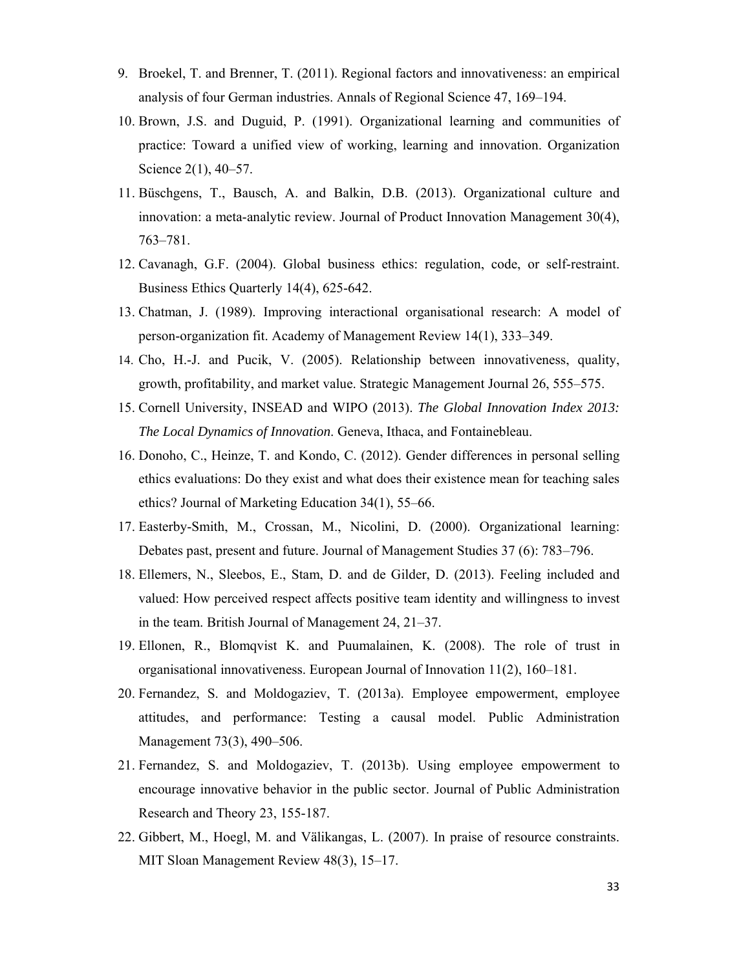- 9. Broekel, T. and Brenner, T. (2011). Regional factors and innovativeness: an empirical analysis of four German industries. Annals of Regional Science 47, 169–194.
- 10. Brown, J.S. and Duguid, P. (1991). Organizational learning and communities of practice: Toward a unified view of working, learning and innovation. Organization Science 2(1), 40–57.
- 11. Büschgens, T., Bausch, A. and Balkin, D.B. (2013). Organizational culture and innovation: a meta-analytic review. Journal of Product Innovation Management 30(4), 763–781.
- 12. Cavanagh, G.F. (2004). Global business ethics: regulation, code, or self-restraint. Business Ethics Quarterly 14(4), 625-642.
- 13. Chatman, J. (1989). Improving interactional organisational research: A model of person-organization fit. Academy of Management Review 14(1), 333–349.
- 14. Cho, H.-J. and Pucik, V. (2005). Relationship between innovativeness, quality, growth, profitability, and market value. Strategic Management Journal 26, 555–575.
- 15. Cornell University, INSEAD and WIPO (2013). *The Global Innovation Index 2013: The Local Dynamics of Innovation*. Geneva, Ithaca, and Fontainebleau.
- 16. Donoho, C., Heinze, T. and Kondo, C. (2012). Gender differences in personal selling ethics evaluations: Do they exist and what does their existence mean for teaching sales ethics? Journal of Marketing Education 34(1), 55–66.
- 17. Easterby-Smith, M., Crossan, M., Nicolini, D. (2000). Organizational learning: Debates past, present and future. Journal of Management Studies 37 (6): 783–796.
- 18. Ellemers, N., Sleebos, E., Stam, D. and de Gilder, D. (2013). Feeling included and valued: How perceived respect affects positive team identity and willingness to invest in the team. British Journal of Management 24, 21–37.
- 19. Ellonen, R., Blomqvist K. and Puumalainen, K. (2008). The role of trust in organisational innovativeness. European Journal of Innovation 11(2), 160–181.
- 20. Fernandez, S. and Moldogaziev, T. (2013a). Employee empowerment, employee attitudes, and performance: Testing a causal model. Public Administration Management 73(3), 490–506.
- 21. Fernandez, S. and Moldogaziev, T. (2013b). Using employee empowerment to encourage innovative behavior in the public sector. Journal of Public Administration Research and Theory 23, 155-187.
- 22. Gibbert, M., Hoegl, M. and Välikangas, L. (2007). In praise of resource constraints. MIT Sloan Management Review 48(3), 15–17.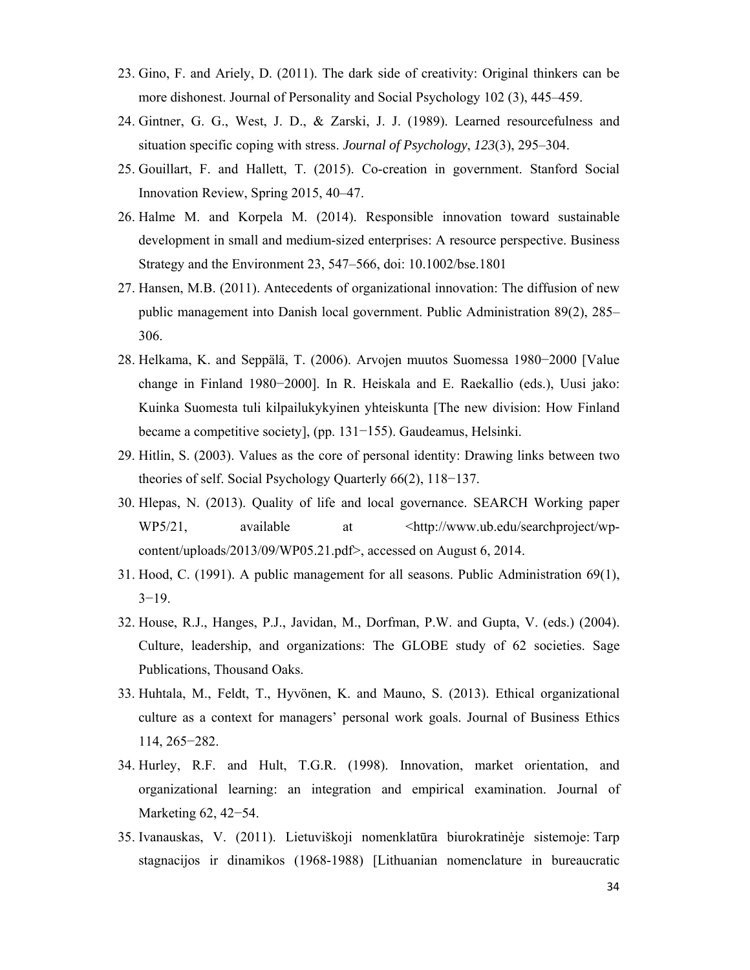- 23. Gino, F. and Ariely, D. (2011). The dark side of creativity: Original thinkers can be more dishonest. Journal of Personality and Social Psychology 102 (3), 445–459.
- 24. Gintner, G. G., West, J. D., & Zarski, J. J. (1989). Learned resourcefulness and situation specific coping with stress. *Journal of Psychology*, *123*(3), 295–304.
- 25. Gouillart, F. and Hallett, T. (2015). Co-creation in government. Stanford Social Innovation Review, Spring 2015, 40–47.
- 26. Halme M. and Korpela M. (2014). Responsible innovation toward sustainable development in small and medium-sized enterprises: A resource perspective. Business Strategy and the Environment 23, 547–566, doi: 10.1002/bse.1801
- 27. Hansen, M.B. (2011). Antecedents of organizational innovation: The diffusion of new public management into Danish local government. Public Administration 89(2), 285– 306.
- 28. Helkama, K. and Seppälä, T. (2006). Arvojen muutos Suomessa 1980−2000 [Value change in Finland 1980−2000]. In R. Heiskala and E. Raekallio (eds.), Uusi jako: Kuinka Suomesta tuli kilpailukykyinen yhteiskunta [The new division: How Finland became a competitive society], (pp. 131−155). Gaudeamus, Helsinki.
- 29. Hitlin, S. (2003). Values as the core of personal identity: Drawing links between two theories of self. Social Psychology Quarterly 66(2), 118−137.
- 30. Hlepas, N. (2013). Quality of life and local governance. SEARCH Working paper WP5/21, available at  $\langle \text{http://www.ub.edu/searchproject/wp-}$ content/uploads/2013/09/WP05.21.pdf>, accessed on August 6, 2014.
- 31. Hood, C. (1991). A public management for all seasons. Public Administration 69(1), 3−19.
- 32. House, R.J., Hanges, P.J., Javidan, M., Dorfman, P.W. and Gupta, V. (eds.) (2004). Culture, leadership, and organizations: The GLOBE study of 62 societies. Sage Publications, Thousand Oaks.
- 33. Huhtala, M., Feldt, T., Hyvönen, K. and Mauno, S. (2013). Ethical organizational culture as a context for managers' personal work goals. Journal of Business Ethics 114, 265−282.
- 34. Hurley, R.F. and Hult, T.G.R. (1998). Innovation, market orientation, and organizational learning: an integration and empirical examination. Journal of Marketing 62, 42−54.
- 35. Ivanauskas, V. (2011). Lietuviškoji nomenklatūra biurokratinėje sistemoje: Tarp stagnacijos ir dinamikos (1968-1988) [Lithuanian nomenclature in bureaucratic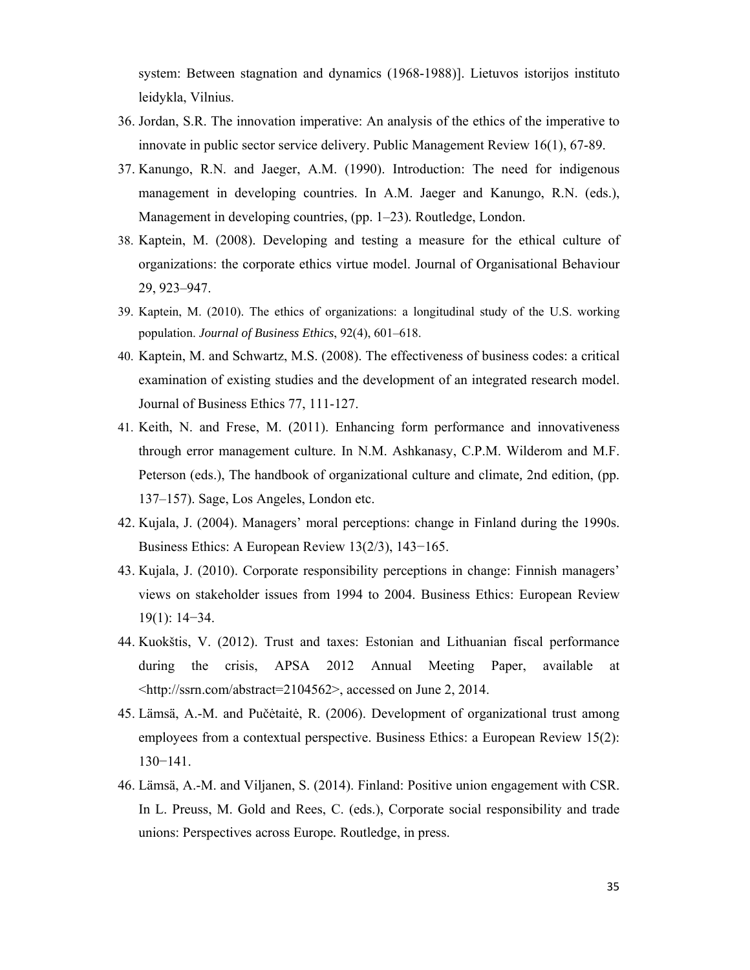system: Between stagnation and dynamics (1968-1988)]. Lietuvos istorijos instituto leidykla, Vilnius.

- 36. Jordan, S.R. The innovation imperative: An analysis of the ethics of the imperative to innovate in public sector service delivery. Public Management Review 16(1), 67-89.
- 37. Kanungo, R.N. and Jaeger, A.M. (1990). Introduction: The need for indigenous management in developing countries. In A.M. Jaeger and Kanungo, R.N. (eds.), Management in developing countries, (pp. 1–23)*.* Routledge, London.
- 38. Kaptein, M. (2008). Developing and testing a measure for the ethical culture of organizations: the corporate ethics virtue model. Journal of Organisational Behaviour 29, 923–947.
- 39. Kaptein, M. (2010). The ethics of organizations: a longitudinal study of the U.S. working population. *Journal of Business Ethics*, 92(4), 601–618.
- 40. Kaptein, M. and Schwartz, M.S. (2008). The effectiveness of business codes: a critical examination of existing studies and the development of an integrated research model. Journal of Business Ethics 77, 111-127.
- 41. Keith, N. and Frese, M. (2011). Enhancing form performance and innovativeness through error management culture. In N.M. Ashkanasy, C.P.M. Wilderom and M.F. Peterson (eds.), The handbook of organizational culture and climate*,* 2nd edition, (pp. 137–157). Sage, Los Angeles, London etc.
- 42. Kujala, J. (2004). Managers' moral perceptions: change in Finland during the 1990s. Business Ethics: A European Review 13(2/3), 143−165.
- 43. Kujala, J. (2010). Corporate responsibility perceptions in change: Finnish managers' views on stakeholder issues from 1994 to 2004. Business Ethics: European Review 19(1): 14−34.
- 44. Kuokštis, V. (2012). Trust and taxes: Estonian and Lithuanian fiscal performance during the crisis, APSA 2012 Annual Meeting Paper, available at <http://ssrn.com/abstract=2104562>, accessed on June 2, 2014.
- 45. Lämsä, A.-M. and Pučėtaitė, R. (2006). Development of organizational trust among employees from a contextual perspective. Business Ethics: a European Review 15(2): 130−141.
- 46. Lämsä, A.-M. and Viljanen, S. (2014). Finland: Positive union engagement with CSR. In L. Preuss, M. Gold and Rees, C. (eds.), Corporate social responsibility and trade unions: Perspectives across Europe*.* Routledge, in press.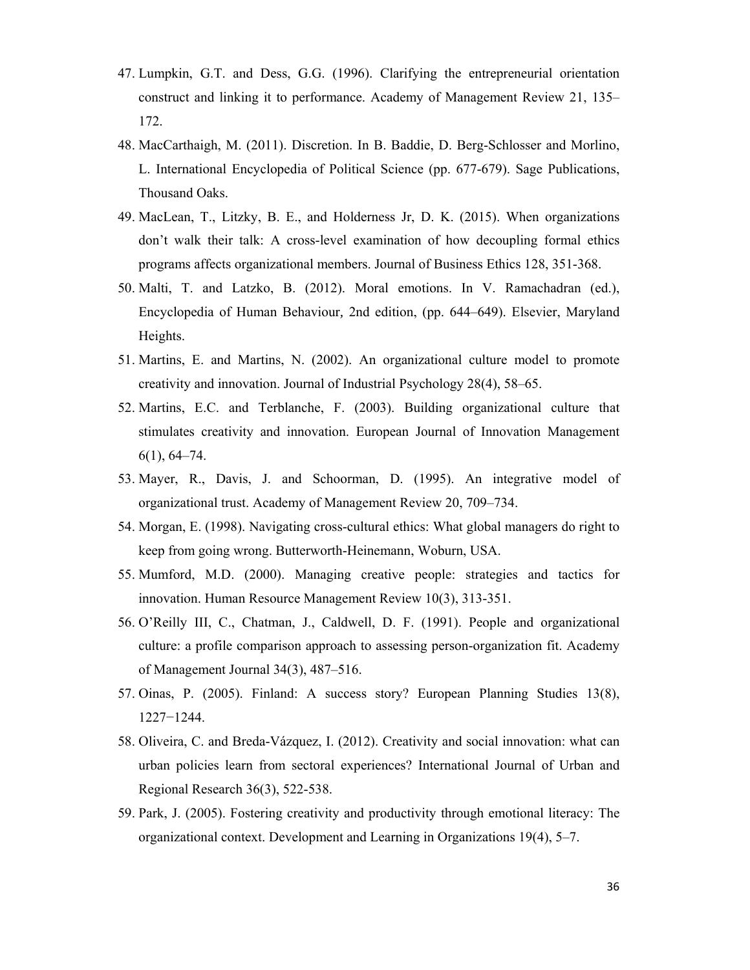- 47. Lumpkin, G.T. and Dess, G.G. (1996). Clarifying the entrepreneurial orientation construct and linking it to performance. Academy of Management Review 21, 135– 172.
- 48. MacCarthaigh, M. (2011). Discretion. In B. Baddie, D. Berg-Schlosser and Morlino, L. International Encyclopedia of Political Science (pp. 677-679). Sage Publications, Thousand Oaks.
- 49. MacLean, T., Litzky, B. E., and Holderness Jr, D. K. (2015). When organizations don't walk their talk: A cross-level examination of how decoupling formal ethics programs affects organizational members. Journal of Business Ethics 128, 351-368.
- 50. Malti, T. and Latzko, B. (2012). Moral emotions. In V. Ramachadran (ed.), Encyclopedia of Human Behaviour*,* 2nd edition, (pp. 644–649). Elsevier, Maryland Heights.
- 51. Martins, E. and Martins, N. (2002). An organizational culture model to promote creativity and innovation. Journal of Industrial Psychology 28(4), 58–65.
- 52. Martins, E.C. and Terblanche, F. (2003). Building organizational culture that stimulates creativity and innovation. European Journal of Innovation Management 6(1), 64–74.
- 53. Mayer, R., Davis, J. and Schoorman, D. (1995). An integrative model of organizational trust. Academy of Management Review 20, 709–734.
- 54. Morgan, E. (1998). Navigating cross-cultural ethics: What global managers do right to keep from going wrong. Butterworth-Heinemann, Woburn, USA.
- 55. Mumford, M.D. (2000). Managing creative people: strategies and tactics for innovation. Human Resource Management Review 10(3), 313-351.
- 56. O'Reilly III, C., Chatman, J., Caldwell, D. F. (1991). People and organizational culture: a profile comparison approach to assessing person-organization fit. Academy of Management Journal 34(3), 487–516.
- 57. Oinas, P. (2005). Finland: A success story? European Planning Studies 13(8), 1227−1244.
- 58. Oliveira, C. and Breda-Vázquez, I. (2012). Creativity and social innovation: what can urban policies learn from sectoral experiences? International Journal of Urban and Regional Research 36(3), 522-538.
- 59. Park, J. (2005). Fostering creativity and productivity through emotional literacy: The organizational context. Development and Learning in Organizations 19(4), 5–7.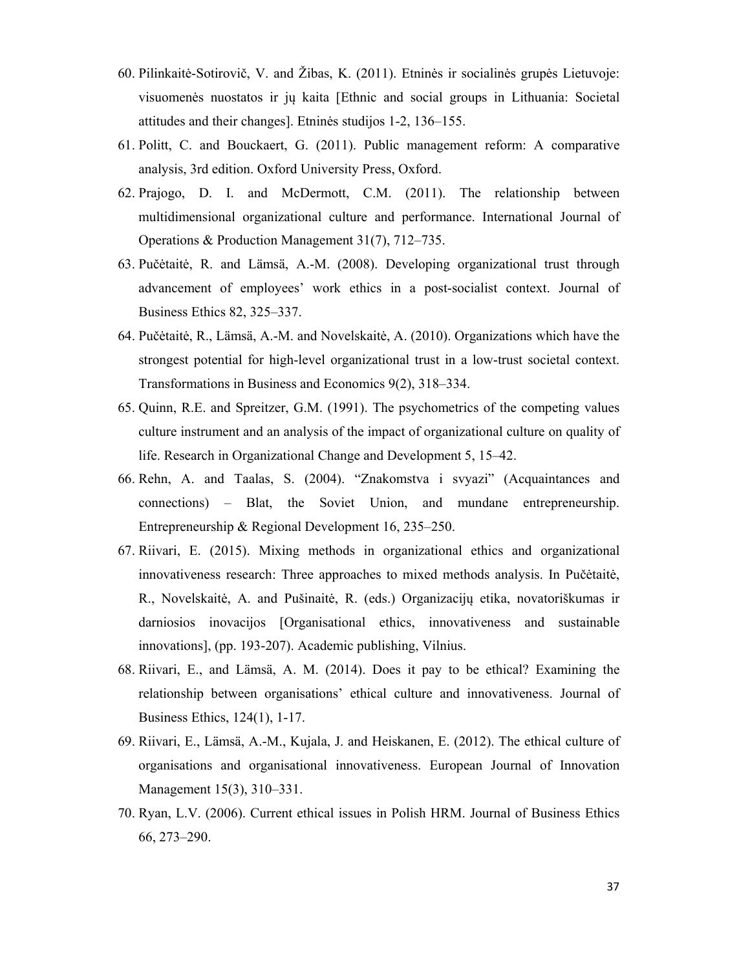- 60. Pilinkaitė-Sotirovič, V. and Žibas, K. (2011). Etninės ir socialinės grupės Lietuvoje: visuomenės nuostatos ir jų kaita [Ethnic and social groups in Lithuania: Societal attitudes and their changes]. Etninės studijos 1-2, 136–155.
- 61. Politt, C. and Bouckaert, G. (2011). Public management reform: A comparative analysis, 3rd edition. Oxford University Press, Oxford.
- 62. Prajogo, D. I. and McDermott, C.M. (2011). The relationship between multidimensional organizational culture and performance. International Journal of Operations & Production Management 31(7), 712–735.
- 63. Pučėtaitė, R. and Lämsä, A.-M. (2008). Developing organizational trust through advancement of employees' work ethics in a post-socialist context. Journal of Business Ethics 82, 325–337.
- 64. Pučėtaitė, R., Lämsä, A.-M. and Novelskaitė, A. (2010). Organizations which have the strongest potential for high-level organizational trust in a low-trust societal context. Transformations in Business and Economics 9(2), 318–334.
- 65. Quinn, R.E. and Spreitzer, G.M. (1991). The psychometrics of the competing values culture instrument and an analysis of the impact of organizational culture on quality of life. Research in Organizational Change and Development 5, 15–42.
- 66. Rehn, A. and Taalas, S. (2004). "Znakomstva i svyazi" (Acquaintances and connections) – Blat, the Soviet Union, and mundane entrepreneurship. Entrepreneurship & Regional Development 16, 235–250.
- 67. Riivari, E. (2015). Mixing methods in organizational ethics and organizational innovativeness research: Three approaches to mixed methods analysis. In Pučėtaitė, R., Novelskaitė, A. and Pušinaitė, R. (eds.) Organizacijų etika, novatoriškumas ir darniosios inovacijos [Organisational ethics, innovativeness and sustainable innovations], (pp. 193-207). Academic publishing, Vilnius.
- 68. Riivari, E., and Lämsä, A. M. (2014). Does it pay to be ethical? Examining the relationship between organisations' ethical culture and innovativeness. Journal of Business Ethics, 124(1), 1-17.
- 69. Riivari, E., Lämsä, A.-M., Kujala, J. and Heiskanen, E. (2012). The ethical culture of organisations and organisational innovativeness. European Journal of Innovation Management 15(3), 310–331.
- 70. Ryan, L.V. (2006). Current ethical issues in Polish HRM. Journal of Business Ethics 66, 273–290.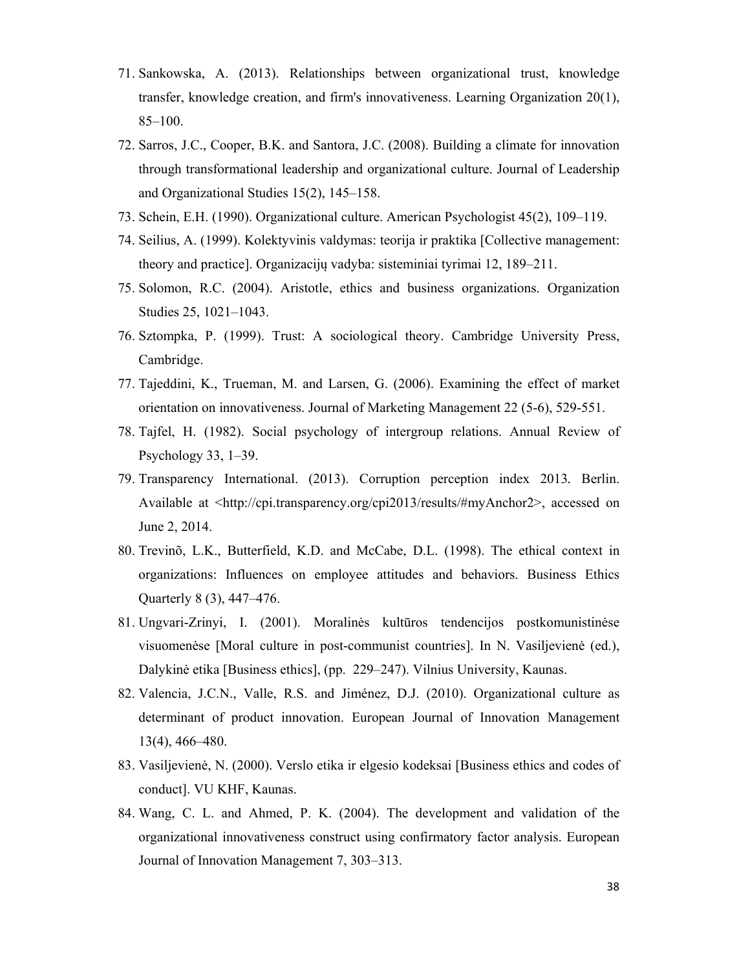- 71. Sankowska, A. (2013). Relationships between organizational trust, knowledge transfer, knowledge creation, and firm's innovativeness. Learning Organization 20(1), 85–100.
- 72. Sarros, J.C., Cooper, B.K. and Santora, J.C. (2008). Building a climate for innovation through transformational leadership and organizational culture. Journal of Leadership and Organizational Studies 15(2), 145–158.
- 73. Schein, E.H. (1990). Organizational culture. American Psychologist 45(2), 109–119.
- 74. Seilius, A. (1999). Kolektyvinis valdymas: teorija ir praktika [Collective management: theory and practice]. Organizacijų vadyba: sisteminiai tyrimai 12, 189–211.
- 75. Solomon, R.C. (2004). Aristotle, ethics and business organizations. Organization Studies 25, 1021–1043.
- 76. Sztompka, P. (1999). Trust: A sociological theory. Cambridge University Press, Cambridge.
- 77. Tajeddini, K., Trueman, M. and Larsen, G. (2006). Examining the effect of market orientation on innovativeness. Journal of Marketing Management 22 (5-6), 529-551.
- 78. Tajfel, H. (1982). Social psychology of intergroup relations. Annual Review of Psychology 33, 1–39.
- 79. Transparency International. (2013). Corruption perception index 2013*.* Berlin. Available at <http://cpi.transparency.org/cpi2013/results/#myAnchor2>, accessed on June 2, 2014.
- 80. Trevinõ, L.K., Butterfield, K.D. and McCabe, D.L. (1998). The ethical context in organizations: Influences on employee attitudes and behaviors. Business Ethics Quarterly 8 (3), 447–476.
- 81. Ungvari-Zrinyi, I. (2001). Moralinės kultūros tendencijos postkomunistinėse visuomenėse [Moral culture in post-communist countries]. In N. Vasiljevienė (ed.), Dalykinė etika [Business ethics], (pp. 229–247). Vilnius University, Kaunas.
- 82. Valencia, J.C.N., Valle, R.S. and Jiménez, D.J. (2010). Organizational culture as determinant of product innovation. European Journal of Innovation Management 13(4), 466–480.
- 83. Vasiljevienė, N. (2000). Verslo etika ir elgesio kodeksai [Business ethics and codes of conduct]. VU KHF, Kaunas.
- 84. Wang, C. L. and Ahmed, P. K. (2004). The development and validation of the organizational innovativeness construct using confirmatory factor analysis. European Journal of Innovation Management 7, 303–313.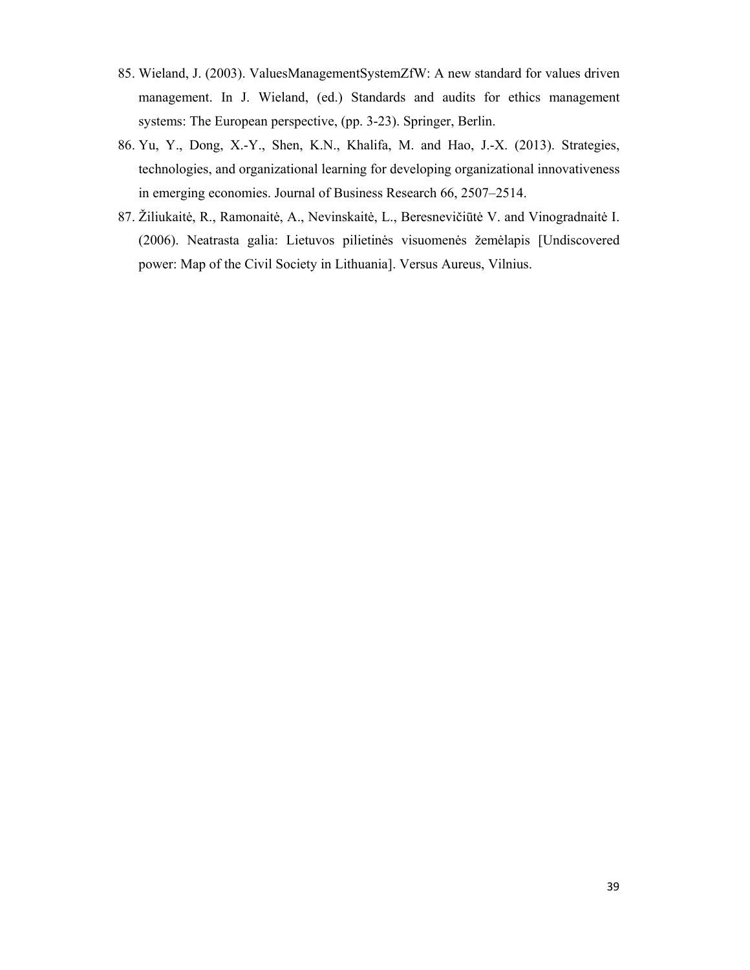- 85. Wieland, J. (2003). ValuesManagementSystemZfW: A new standard for values driven management. In J. Wieland, (ed.) Standards and audits for ethics management systems: The European perspective, (pp. 3-23). Springer, Berlin.
- 86. Yu, Y., Dong, X.-Y., Shen, K.N., Khalifa, M. and Hao, J.-X. (2013). Strategies, technologies, and organizational learning for developing organizational innovativeness in emerging economies. Journal of Business Research 66, 2507–2514.
- 87. Žiliukaitė, R., Ramonaitė, A., Nevinskaitė, L., Beresnevičiūtė V. and Vinogradnaitė I. (2006). Neatrasta galia: Lietuvos pilietinės visuomenės žemėlapis [Undiscovered power: Map of the Civil Society in Lithuania]. Versus Aureus, Vilnius.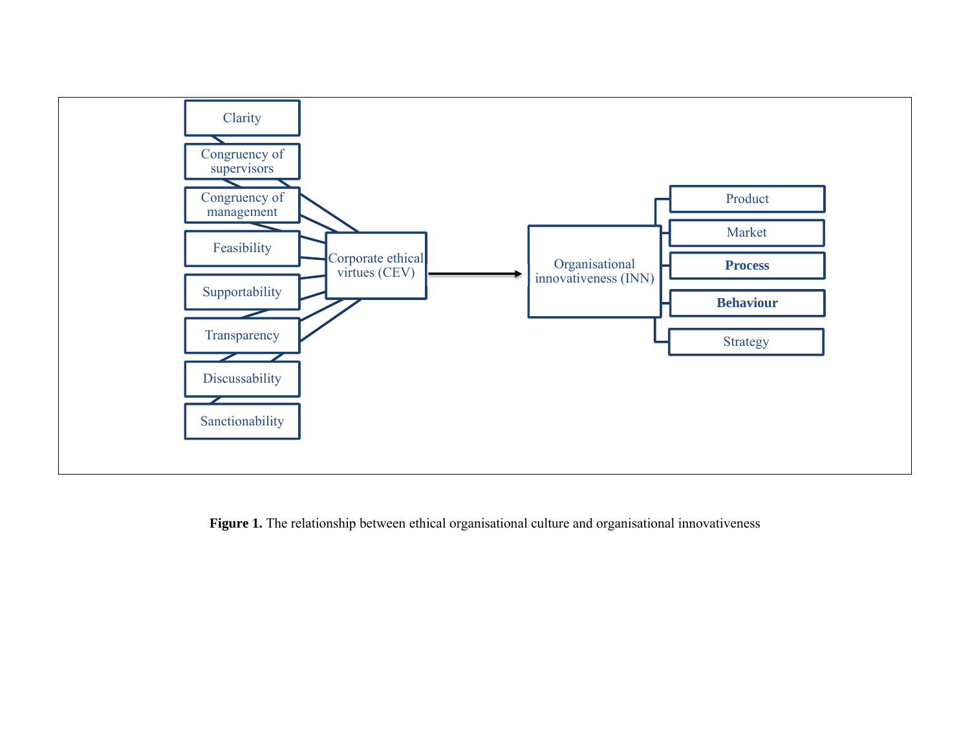

Figure 1. The relationship between ethical organisational culture and organisational innovativeness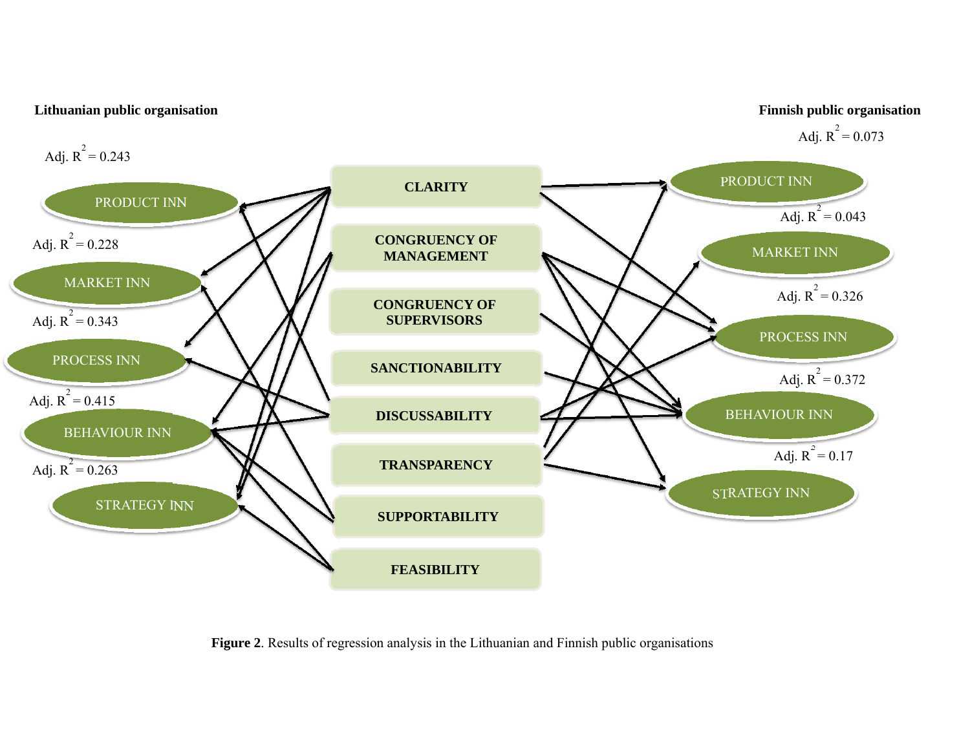

**Figure 2**. Results of regression analysis in the Lithuanian and Finnish public organisations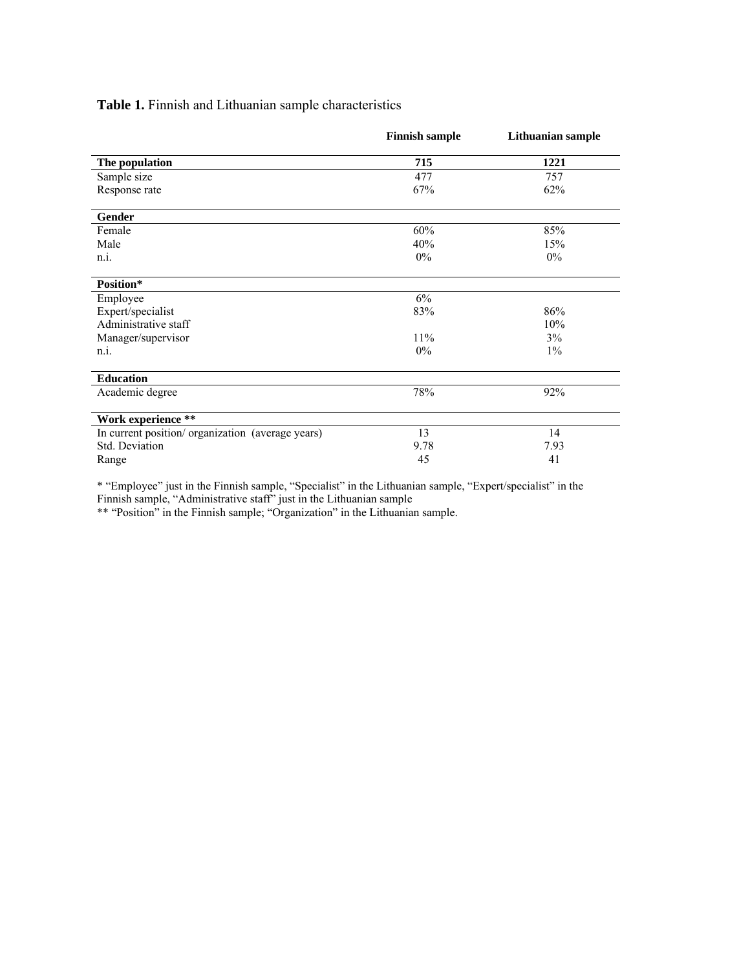**Table 1.** Finnish and Lithuanian sample characteristics

|                                                   | <b>Finnish sample</b> | Lithuanian sample |
|---------------------------------------------------|-----------------------|-------------------|
| The population                                    | 715                   | 1221              |
| Sample size                                       | 477                   | 757               |
| Response rate                                     | 67%                   | 62%               |
| Gender                                            |                       |                   |
| Female                                            | 60%                   | 85%               |
| Male                                              | 40%                   | 15%               |
| n.i.                                              | $0\%$                 | $0\%$             |
| Position*                                         |                       |                   |
| Employee                                          | 6%                    |                   |
| Expert/specialist                                 | 83%                   | 86%               |
| Administrative staff                              |                       | 10%               |
| Manager/supervisor                                | 11%                   | 3%                |
| n.i.                                              | 0%                    | $1\%$             |
| <b>Education</b>                                  |                       |                   |
| Academic degree                                   | 78%                   | 92%               |
| Work experience **                                |                       |                   |
| In current position/ organization (average years) | 13                    | 14                |
| Std. Deviation                                    | 9.78                  | 7.93              |
| Range                                             | 45                    | 41                |

\* "Employee" just in the Finnish sample, "Specialist" in the Lithuanian sample, "Expert/specialist" in the Finnish sample, "Administrative staff" just in the Lithuanian sample

\*\* "Position" in the Finnish sample; "Organization" in the Lithuanian sample.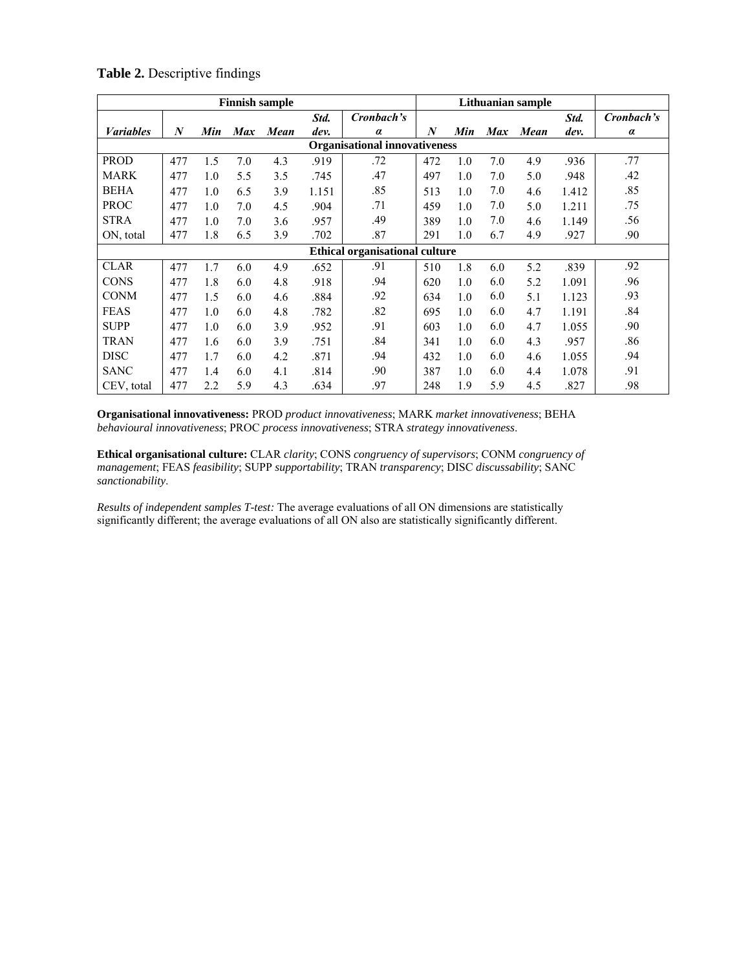| <b>Finnish sample</b>                |     |     |            |             |       | Lithuanian sample                     |     |     |            |             |       |            |
|--------------------------------------|-----|-----|------------|-------------|-------|---------------------------------------|-----|-----|------------|-------------|-------|------------|
|                                      |     |     |            |             | Std.  | Cronbach's                            |     |     |            |             | Std.  | Cronbach's |
| <b><i>Variables</i></b>              | N   | Min | <b>Max</b> | <b>Mean</b> | dev.  | $\alpha$                              | N   | Min | <b>Max</b> | <b>Mean</b> | dev.  | $\alpha$   |
| <b>Organisational innovativeness</b> |     |     |            |             |       |                                       |     |     |            |             |       |            |
| <b>PROD</b>                          | 477 | 1.5 | 7.0        | 4.3         | .919  | .72                                   | 472 | 1.0 | 7.0        | 4.9         | .936  | .77        |
| <b>MARK</b>                          | 477 | 1.0 | 5.5        | 3.5         | .745  | .47                                   | 497 | 1.0 | 7.0        | 5.0         | .948  | .42        |
| <b>BEHA</b>                          | 477 | 1.0 | 6.5        | 3.9         | 1.151 | .85                                   | 513 | 1.0 | 7.0        | 4.6         | 1.412 | .85        |
| <b>PROC</b>                          | 477 | 1.0 | 7.0        | 4.5         | .904  | .71                                   | 459 | 1.0 | 7.0        | 5.0         | 1.211 | .75        |
| <b>STRA</b>                          | 477 | 1.0 | 7.0        | 3.6         | .957  | .49                                   | 389 | 1.0 | 7.0        | 4.6         | 1.149 | .56        |
| ON, total                            | 477 | 1.8 | 6.5        | 3.9         | .702  | .87                                   | 291 | 1.0 | 6.7        | 4.9         | .927  | .90        |
|                                      |     |     |            |             |       | <b>Ethical organisational culture</b> |     |     |            |             |       |            |
| <b>CLAR</b>                          | 477 | 1.7 | 6.0        | 4.9         | .652  | .91                                   | 510 | 1.8 | 6.0        | 5.2         | .839  | .92        |
| <b>CONS</b>                          | 477 | 1.8 | 6.0        | 4.8         | .918  | .94                                   | 620 | 1.0 | 6.0        | 5.2         | 1.091 | .96        |
| <b>CONM</b>                          | 477 | 1.5 | 6.0        | 4.6         | .884  | .92                                   | 634 | 1.0 | 6.0        | 5.1         | 1.123 | .93        |
| <b>FEAS</b>                          | 477 | 1.0 | 6.0        | 4.8         | .782  | .82                                   | 695 | 1.0 | 6.0        | 4.7         | 1.191 | .84        |
| <b>SUPP</b>                          | 477 | 1.0 | 6.0        | 3.9         | .952  | .91                                   | 603 | 1.0 | 6.0        | 4.7         | 1.055 | .90        |
| <b>TRAN</b>                          | 477 | 1.6 | 6.0        | 3.9         | .751  | .84                                   | 341 | 1.0 | 6.0        | 4.3         | .957  | .86        |
| <b>DISC</b>                          | 477 | 1.7 | 6.0        | 4.2         | .871  | .94                                   | 432 | 1.0 | 6.0        | 4.6         | 1.055 | .94        |
| <b>SANC</b>                          | 477 | 1.4 | 6.0        | 4.1         | .814  | .90                                   | 387 | 1.0 | 6.0        | 4.4         | 1.078 | .91        |
| CEV, total                           | 477 | 2.2 | 5.9        | 4.3         | .634  | .97                                   | 248 | 1.9 | 5.9        | 4.5         | .827  | .98        |

## **Table 2.** Descriptive findings

**Organisational innovativeness:** PROD *product innovativeness*; MARK *market innovativeness*; BEHA *behavioural innovativeness*; PROC *process innovativeness*; STRA *strategy innovativeness*.

**Ethical organisational culture:** CLAR *clarity*; CONS *congruency of supervisors*; CONM *congruency of management*; FEAS *feasibility*; SUPP *supportability*; TRAN *transparency*; DISC *discussability*; SANC *sanctionability*.

*Results of independent samples T-test:* The average evaluations of all ON dimensions are statistically significantly different; the average evaluations of all ON also are statistically significantly different.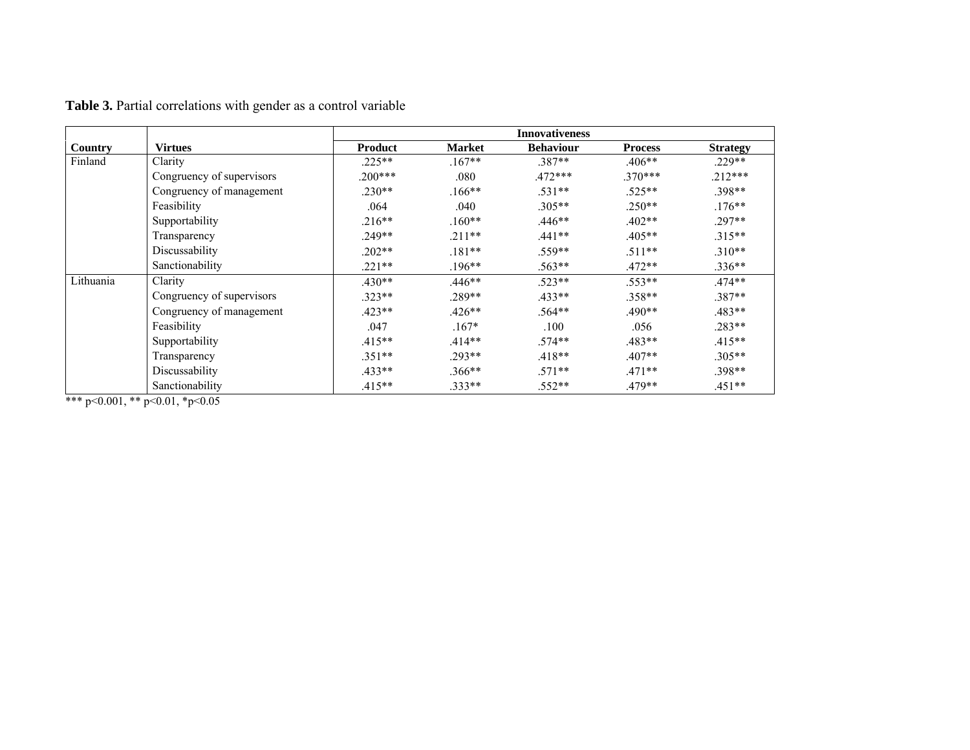|           |                           | <b>Innovativeness</b> |               |                  |                |                 |  |  |  |
|-----------|---------------------------|-----------------------|---------------|------------------|----------------|-----------------|--|--|--|
| Country   | <b>Virtues</b>            | Product               | <b>Market</b> | <b>Behaviour</b> | <b>Process</b> | <b>Strategy</b> |  |  |  |
| Finland   | Clarity                   | $.225**$              | $.167**$      | $.387**$         | $.406**$       | $.229**$        |  |  |  |
|           | Congruency of supervisors | $.200***$             | .080          | $.472***$        | $.370***$      | $.212***$       |  |  |  |
|           | Congruency of management  | $.230**$              | $.166**$      | $.531**$         | $.525**$       | $.398**$        |  |  |  |
|           | Feasibility               | .064                  | .040          | $.305**$         | $.250**$       | $.176***$       |  |  |  |
|           | Supportability            | $.216**$              | $.160**$      | .446**           | $.402**$       | $.297**$        |  |  |  |
|           | Transparency              | $.249**$              | $.211**$      | $.441**$         | $.405**$       | $.315**$        |  |  |  |
|           | Discussability            | $.202**$              | $.181**$      | $.559**$         | $.511**$       | $.310**$        |  |  |  |
|           | Sanctionability           | $.221**$              | $.196**$      | $.563**$         | $.472**$       | $.336**$        |  |  |  |
| Lithuania | Clarity                   | $.430**$              | $.446**$      | $.523**$         | $.553**$       | $.474**$        |  |  |  |
|           | Congruency of supervisors | $.323**$              | .289**        | $.433**$         | $.358**$       | 387**           |  |  |  |
|           | Congruency of management  | $.423**$              | $.426**$      | $.564**$         | $.490**$       | $.483**$        |  |  |  |
|           | Feasibility               | .047                  | $.167*$       | .100             | .056           | $.283**$        |  |  |  |
|           | Supportability            | $.415**$              | $.414**$      | $.574**$         | $.483**$       | $.415**$        |  |  |  |
|           | Transparency              | $.351**$              | $.293**$      | $.418**$         | $.407**$       | $.305**$        |  |  |  |
|           | Discussability            | $.433**$              | $.366**$      | $.571**$         | $.471**$       | $.398**$        |  |  |  |
|           | Sanctionability           | $.415**$              | $.333**$      | .552**           | $.479**$       | $.451**$        |  |  |  |

**Table 3.** Partial correlations with gender as a control variable

\*\*\* p<0.001, \*\* p<0.01, \*p<0.05